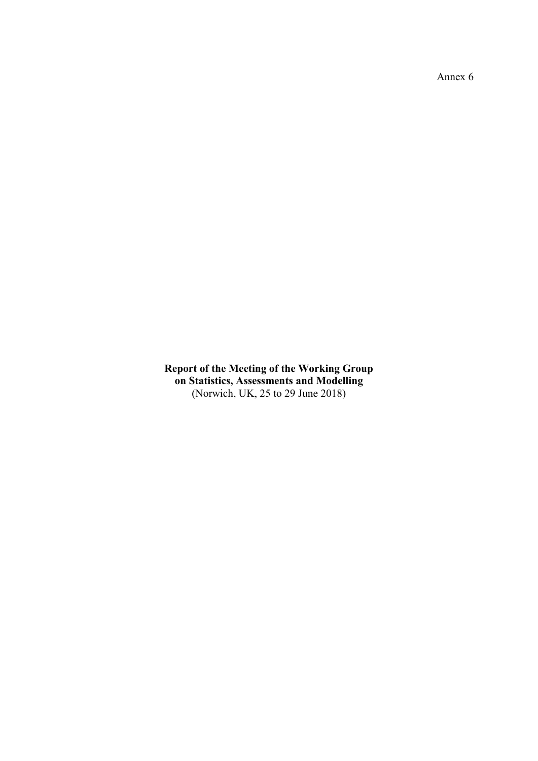Annex 6

**Report of the Meeting of the Working Group on Statistics, Assessments and Modelling** (Norwich, UK, 25 to 29 June 2018)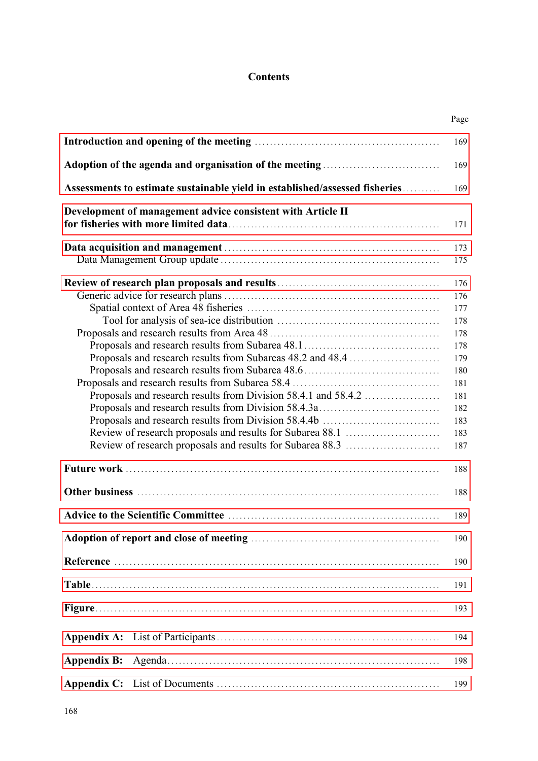# **Contents**

|                    |                                                                             | Page |
|--------------------|-----------------------------------------------------------------------------|------|
|                    |                                                                             | 169  |
|                    |                                                                             | 169  |
|                    | Assessments to estimate sustainable yield in established/assessed fisheries | 169  |
|                    | Development of management advice consistent with Article II                 | 171  |
|                    |                                                                             | 173  |
|                    |                                                                             | 175  |
|                    |                                                                             | 176  |
|                    |                                                                             | 176  |
|                    |                                                                             | 177  |
|                    |                                                                             | 178  |
|                    |                                                                             | 178  |
|                    |                                                                             | 178  |
|                    | Proposals and research results from Subareas 48.2 and 48.4                  | 179  |
|                    |                                                                             | 180  |
|                    |                                                                             | 181  |
|                    |                                                                             | 181  |
|                    |                                                                             | 182  |
|                    |                                                                             | 183  |
|                    |                                                                             | 183  |
|                    |                                                                             | 187  |
|                    |                                                                             | 188  |
|                    |                                                                             | 188  |
|                    |                                                                             | 189  |
|                    |                                                                             | 190  |
|                    |                                                                             | 190  |
|                    |                                                                             | 191  |
|                    |                                                                             | 193  |
|                    |                                                                             | 194  |
| <b>Appendix B:</b> |                                                                             | 198  |
|                    |                                                                             | 199  |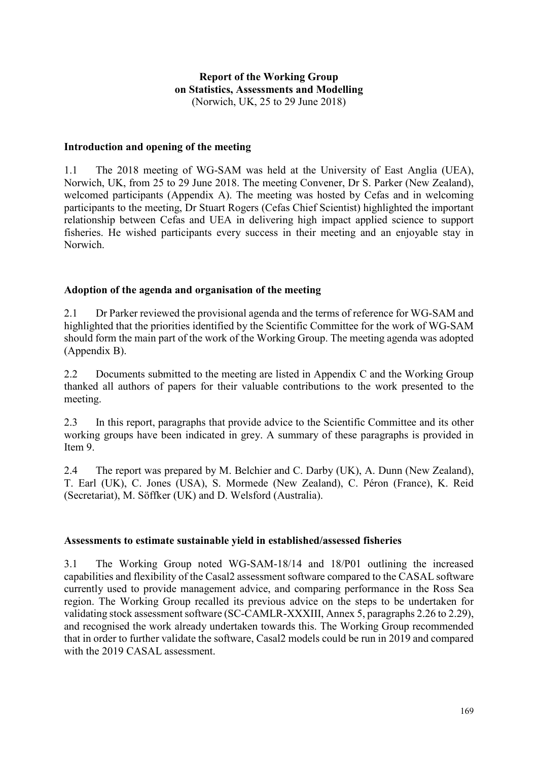# **Report of the Working Group on Statistics, Assessments and Modelling** (Norwich, UK, 25 to 29 June 2018)

#### <span id="page-2-0"></span>**Introduction and opening of the meeting**

1.1 The 2018 meeting of WG-SAM was held at the University of East Anglia (UEA), Norwich, UK, from 25 to 29 June 2018. The meeting Convener, Dr S. Parker (New Zealand), welcomed participants (Appendix A). The meeting was hosted by Cefas and in welcoming participants to the meeting, Dr Stuart Rogers (Cefas Chief Scientist) highlighted the important relationship between Cefas and UEA in delivering high impact applied science to support fisheries. He wished participants every success in their meeting and an enjoyable stay in Norwich.

#### **Adoption of the agenda and organisation of the meeting**

2.1 Dr Parker reviewed the provisional agenda and the terms of reference for WG-SAM and highlighted that the priorities identified by the Scientific Committee for the work of WG-SAM should form the main part of the work of the Working Group. The meeting agenda was adopted (Appendix B).

2.2 Documents submitted to the meeting are listed in Appendix C and the Working Group thanked all authors of papers for their valuable contributions to the work presented to the meeting.

2.3 In this report, paragraphs that provide advice to the Scientific Committee and its other working groups have been indicated in grey. A summary of these paragraphs is provided in Item 9.

2.4 The report was prepared by M. Belchier and C. Darby (UK), A. Dunn (New Zealand), T. Earl (UK), C. Jones (USA), S. Mormede (New Zealand), C. Péron (France), K. Reid (Secretariat), M. Söffker (UK) and D. Welsford (Australia).

#### **Assessments to estimate sustainable yield in established/assessed fisheries**

3.1 The Working Group noted WG-SAM-18/14 and 18/P01 outlining the increased capabilities and flexibility of the Casal2 assessment software compared to the CASAL software currently used to provide management advice, and comparing performance in the Ross Sea region. The Working Group recalled its previous advice on the steps to be undertaken for validating stock assessment software (SC-CAMLR-XXXIII, Annex 5, paragraphs 2.26 to 2.29), and recognised the work already undertaken towards this. The Working Group recommended that in order to further validate the software, Casal2 models could be run in 2019 and compared with the 2019 CASAL assessment.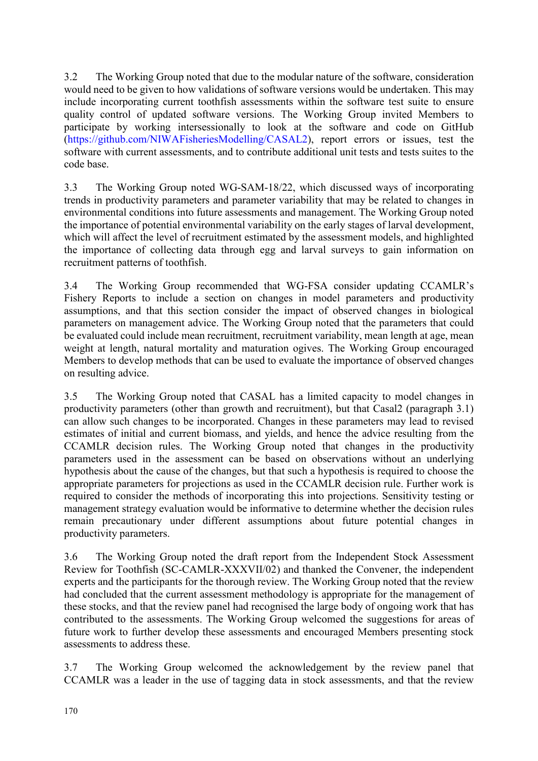3.2 The Working Group noted that due to the modular nature of the software, consideration would need to be given to how validations of software versions would be undertaken. This may include incorporating current toothfish assessments within the software test suite to ensure quality control of updated software versions. The Working Group invited Members to participate by working intersessionally to look at the software and code on GitHub [\(https://github.com/NIWAFisheriesModelling/CASAL2\)](https://github.com/NIWAFisheriesModelling/CASAL2), report errors or issues, test the software with current assessments, and to contribute additional unit tests and tests suites to the code base.

3.3 The Working Group noted WG-SAM-18/22, which discussed ways of incorporating trends in productivity parameters and parameter variability that may be related to changes in environmental conditions into future assessments and management. The Working Group noted the importance of potential environmental variability on the early stages of larval development, which will affect the level of recruitment estimated by the assessment models, and highlighted the importance of collecting data through egg and larval surveys to gain information on recruitment patterns of toothfish.

3.4 The Working Group recommended that WG-FSA consider updating CCAMLR's Fishery Reports to include a section on changes in model parameters and productivity assumptions, and that this section consider the impact of observed changes in biological parameters on management advice. The Working Group noted that the parameters that could be evaluated could include mean recruitment, recruitment variability, mean length at age, mean weight at length, natural mortality and maturation ogives. The Working Group encouraged Members to develop methods that can be used to evaluate the importance of observed changes on resulting advice.

3.5 The Working Group noted that CASAL has a limited capacity to model changes in productivity parameters (other than growth and recruitment), but that Casal2 (paragraph 3.1) can allow such changes to be incorporated. Changes in these parameters may lead to revised estimates of initial and current biomass, and yields, and hence the advice resulting from the CCAMLR decision rules. The Working Group noted that changes in the productivity parameters used in the assessment can be based on observations without an underlying hypothesis about the cause of the changes, but that such a hypothesis is required to choose the appropriate parameters for projections as used in the CCAMLR decision rule. Further work is required to consider the methods of incorporating this into projections. Sensitivity testing or management strategy evaluation would be informative to determine whether the decision rules remain precautionary under different assumptions about future potential changes in productivity parameters.

3.6 The Working Group noted the draft report from the Independent Stock Assessment Review for Toothfish (SC-CAMLR-XXXVII/02) and thanked the Convener, the independent experts and the participants for the thorough review. The Working Group noted that the review had concluded that the current assessment methodology is appropriate for the management of these stocks, and that the review panel had recognised the large body of ongoing work that has contributed to the assessments. The Working Group welcomed the suggestions for areas of future work to further develop these assessments and encouraged Members presenting stock assessments to address these.

3.7 The Working Group welcomed the acknowledgement by the review panel that CCAMLR was a leader in the use of tagging data in stock assessments, and that the review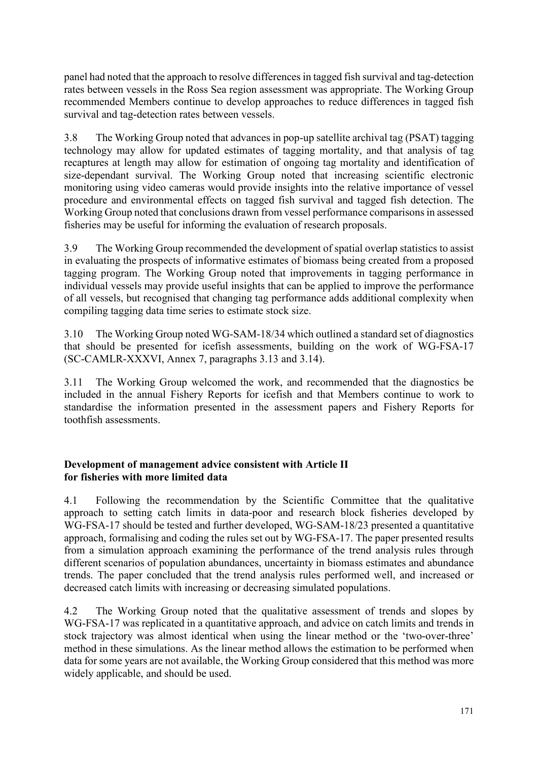<span id="page-4-0"></span>panel had noted that the approach to resolve differences in tagged fish survival and tag-detection rates between vessels in the Ross Sea region assessment was appropriate. The Working Group recommended Members continue to develop approaches to reduce differences in tagged fish survival and tag-detection rates between vessels.

3.8 The Working Group noted that advances in pop-up satellite archival tag (PSAT) tagging technology may allow for updated estimates of tagging mortality, and that analysis of tag recaptures at length may allow for estimation of ongoing tag mortality and identification of size-dependant survival. The Working Group noted that increasing scientific electronic monitoring using video cameras would provide insights into the relative importance of vessel procedure and environmental effects on tagged fish survival and tagged fish detection. The Working Group noted that conclusions drawn from vessel performance comparisons in assessed fisheries may be useful for informing the evaluation of research proposals.

3.9 The Working Group recommended the development of spatial overlap statistics to assist in evaluating the prospects of informative estimates of biomass being created from a proposed tagging program. The Working Group noted that improvements in tagging performance in individual vessels may provide useful insights that can be applied to improve the performance of all vessels, but recognised that changing tag performance adds additional complexity when compiling tagging data time series to estimate stock size.

3.10 The Working Group noted WG-SAM-18/34 which outlined a standard set of diagnostics that should be presented for icefish assessments, building on the work of WG-FSA-17 (SC-CAMLR-XXXVI, Annex 7, paragraphs 3.13 and 3.14).

3.11 The Working Group welcomed the work, and recommended that the diagnostics be included in the annual Fishery Reports for icefish and that Members continue to work to standardise the information presented in the assessment papers and Fishery Reports for toothfish assessments.

#### **Development of management advice consistent with Article II for fisheries with more limited data**

4.1 Following the recommendation by the Scientific Committee that the qualitative approach to setting catch limits in data-poor and research block fisheries developed by WG-FSA-17 should be tested and further developed, WG-SAM-18/23 presented a quantitative approach, formalising and coding the rules set out by WG-FSA-17. The paper presented results from a simulation approach examining the performance of the trend analysis rules through different scenarios of population abundances, uncertainty in biomass estimates and abundance trends. The paper concluded that the trend analysis rules performed well, and increased or decreased catch limits with increasing or decreasing simulated populations.

4.2 The Working Group noted that the qualitative assessment of trends and slopes by WG-FSA-17 was replicated in a quantitative approach, and advice on catch limits and trends in stock trajectory was almost identical when using the linear method or the 'two-over-three' method in these simulations. As the linear method allows the estimation to be performed when data for some years are not available, the Working Group considered that this method was more widely applicable, and should be used.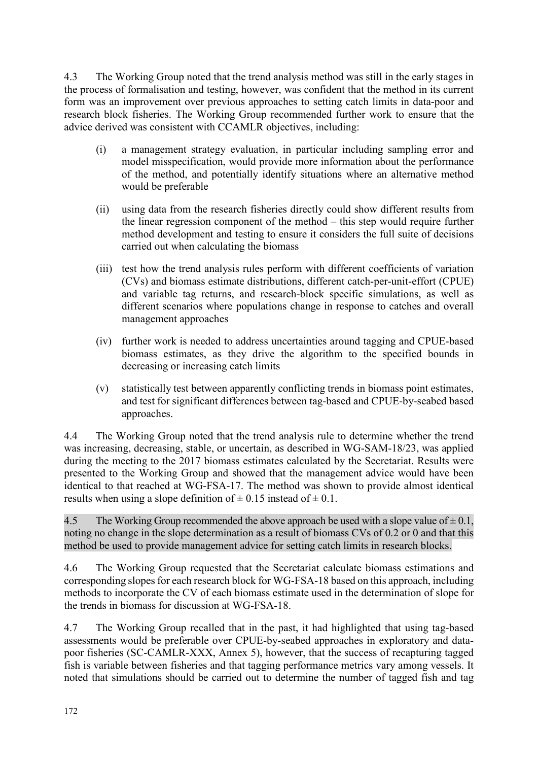4.3 The Working Group noted that the trend analysis method was still in the early stages in the process of formalisation and testing, however, was confident that the method in its current form was an improvement over previous approaches to setting catch limits in data-poor and research block fisheries. The Working Group recommended further work to ensure that the advice derived was consistent with CCAMLR objectives, including:

- (i) a management strategy evaluation, in particular including sampling error and model misspecification, would provide more information about the performance of the method, and potentially identify situations where an alternative method would be preferable
- (ii) using data from the research fisheries directly could show different results from the linear regression component of the method – this step would require further method development and testing to ensure it considers the full suite of decisions carried out when calculating the biomass
- (iii) test how the trend analysis rules perform with different coefficients of variation (CVs) and biomass estimate distributions, different catch-per-unit-effort (CPUE) and variable tag returns, and research-block specific simulations, as well as different scenarios where populations change in response to catches and overall management approaches
- (iv) further work is needed to address uncertainties around tagging and CPUE-based biomass estimates, as they drive the algorithm to the specified bounds in decreasing or increasing catch limits
- (v) statistically test between apparently conflicting trends in biomass point estimates, and test for significant differences between tag-based and CPUE-by-seabed based approaches.

4.4 The Working Group noted that the trend analysis rule to determine whether the trend was increasing, decreasing, stable, or uncertain, as described in WG-SAM-18/23, was applied during the meeting to the 2017 biomass estimates calculated by the Secretariat. Results were presented to the Working Group and showed that the management advice would have been identical to that reached at WG-FSA-17. The method was shown to provide almost identical results when using a slope definition of  $\pm$  0.15 instead of  $\pm$  0.1.

4.5 The Working Group recommended the above approach be used with a slope value of  $\pm$  0.1, noting no change in the slope determination as a result of biomass CVs of 0.2 or 0 and that this method be used to provide management advice for setting catch limits in research blocks.

4.6 The Working Group requested that the Secretariat calculate biomass estimations and corresponding slopes for each research block for WG-FSA-18 based on this approach, including methods to incorporate the CV of each biomass estimate used in the determination of slope for the trends in biomass for discussion at WG-FSA-18.

4.7 The Working Group recalled that in the past, it had highlighted that using tag-based assessments would be preferable over CPUE-by-seabed approaches in exploratory and datapoor fisheries (SC-CAMLR-XXX, Annex 5), however, that the success of recapturing tagged fish is variable between fisheries and that tagging performance metrics vary among vessels. It noted that simulations should be carried out to determine the number of tagged fish and tag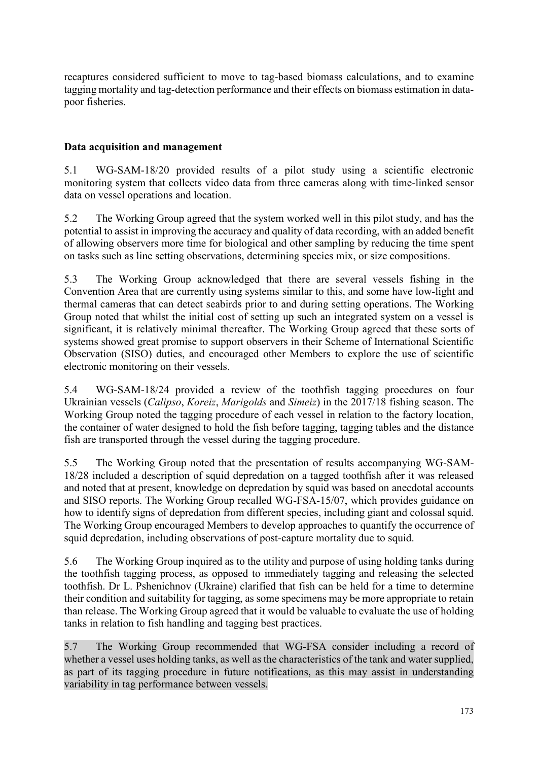<span id="page-6-0"></span>recaptures considered sufficient to move to tag-based biomass calculations, and to examine tagging mortality and tag-detection performance and their effects on biomass estimation in datapoor fisheries.

# **Data acquisition and management**

5.1 WG-SAM-18/20 provided results of a pilot study using a scientific electronic monitoring system that collects video data from three cameras along with time-linked sensor data on vessel operations and location.

5.2 The Working Group agreed that the system worked well in this pilot study, and has the potential to assist in improving the accuracy and quality of data recording, with an added benefit of allowing observers more time for biological and other sampling by reducing the time spent on tasks such as line setting observations, determining species mix, or size compositions.

5.3 The Working Group acknowledged that there are several vessels fishing in the Convention Area that are currently using systems similar to this, and some have low-light and thermal cameras that can detect seabirds prior to and during setting operations. The Working Group noted that whilst the initial cost of setting up such an integrated system on a vessel is significant, it is relatively minimal thereafter. The Working Group agreed that these sorts of systems showed great promise to support observers in their Scheme of International Scientific Observation (SISO) duties, and encouraged other Members to explore the use of scientific electronic monitoring on their vessels.

5.4 WG-SAM-18/24 provided a review of the toothfish tagging procedures on four Ukrainian vessels (*Calipso*, *Koreiz*, *Marigolds* and *Simeiz*) in the 2017/18 fishing season. The Working Group noted the tagging procedure of each vessel in relation to the factory location, the container of water designed to hold the fish before tagging, tagging tables and the distance fish are transported through the vessel during the tagging procedure.

5.5 The Working Group noted that the presentation of results accompanying WG-SAM-18/28 included a description of squid depredation on a tagged toothfish after it was released and noted that at present, knowledge on depredation by squid was based on anecdotal accounts and SISO reports. The Working Group recalled WG-FSA-15/07, which provides guidance on how to identify signs of depredation from different species, including giant and colossal squid. The Working Group encouraged Members to develop approaches to quantify the occurrence of squid depredation, including observations of post-capture mortality due to squid.

5.6 The Working Group inquired as to the utility and purpose of using holding tanks during the toothfish tagging process, as opposed to immediately tagging and releasing the selected toothfish. Dr L. Pshenichnov (Ukraine) clarified that fish can be held for a time to determine their condition and suitability for tagging, as some specimens may be more appropriate to retain than release. The Working Group agreed that it would be valuable to evaluate the use of holding tanks in relation to fish handling and tagging best practices.

5.7 The Working Group recommended that WG-FSA consider including a record of whether a vessel uses holding tanks, as well as the characteristics of the tank and water supplied, as part of its tagging procedure in future notifications, as this may assist in understanding variability in tag performance between vessels.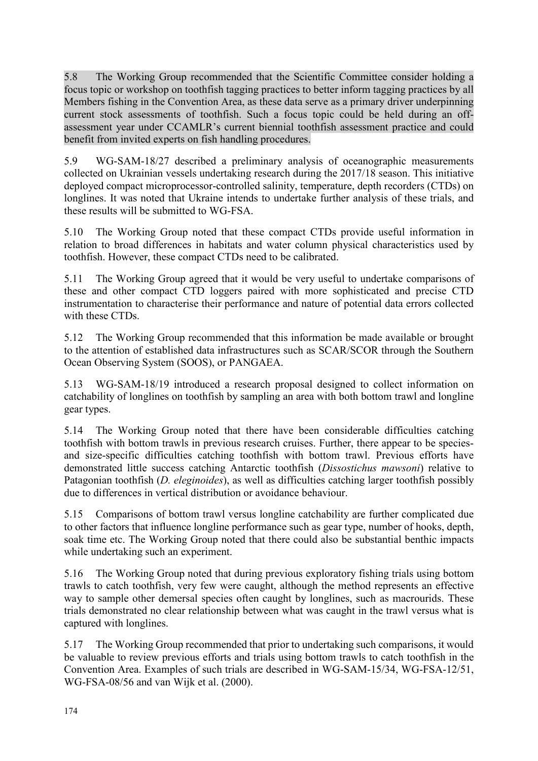5.8 The Working Group recommended that the Scientific Committee consider holding a focus topic or workshop on toothfish tagging practices to better inform tagging practices by all Members fishing in the Convention Area, as these data serve as a primary driver underpinning current stock assessments of toothfish. Such a focus topic could be held during an offassessment year under CCAMLR's current biennial toothfish assessment practice and could benefit from invited experts on fish handling procedures.

5.9 WG-SAM-18/27 described a preliminary analysis of oceanographic measurements collected on Ukrainian vessels undertaking research during the 2017/18 season. This initiative deployed compact microprocessor-controlled salinity, temperature, depth recorders (CTDs) on longlines. It was noted that Ukraine intends to undertake further analysis of these trials, and these results will be submitted to WG-FSA.

5.10 The Working Group noted that these compact CTDs provide useful information in relation to broad differences in habitats and water column physical characteristics used by toothfish. However, these compact CTDs need to be calibrated.

5.11 The Working Group agreed that it would be very useful to undertake comparisons of these and other compact CTD loggers paired with more sophisticated and precise CTD instrumentation to characterise their performance and nature of potential data errors collected with these CTDs.

5.12 The Working Group recommended that this information be made available or brought to the attention of established data infrastructures such as SCAR/SCOR through the Southern Ocean Observing System (SOOS), or PANGAEA.

5.13 WG-SAM-18/19 introduced a research proposal designed to collect information on catchability of longlines on toothfish by sampling an area with both bottom trawl and longline gear types.

5.14 The Working Group noted that there have been considerable difficulties catching toothfish with bottom trawls in previous research cruises. Further, there appear to be speciesand size-specific difficulties catching toothfish with bottom trawl. Previous efforts have demonstrated little success catching Antarctic toothfish (*Dissostichus mawsoni*) relative to Patagonian toothfish (*D. eleginoides*), as well as difficulties catching larger toothfish possibly due to differences in vertical distribution or avoidance behaviour.

5.15 Comparisons of bottom trawl versus longline catchability are further complicated due to other factors that influence longline performance such as gear type, number of hooks, depth, soak time etc. The Working Group noted that there could also be substantial benthic impacts while undertaking such an experiment.

5.16 The Working Group noted that during previous exploratory fishing trials using bottom trawls to catch toothfish, very few were caught, although the method represents an effective way to sample other demersal species often caught by longlines, such as macrourids. These trials demonstrated no clear relationship between what was caught in the trawl versus what is captured with longlines.

5.17 The Working Group recommended that prior to undertaking such comparisons, it would be valuable to review previous efforts and trials using bottom trawls to catch toothfish in the Convention Area. Examples of such trials are described in WG-SAM-15/34, WG-FSA-12/51, WG-FSA-08/56 and van Wijk et al. (2000).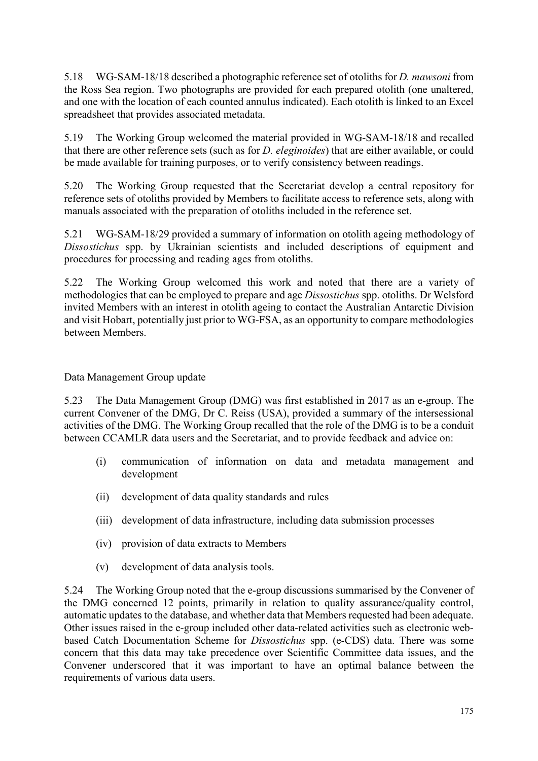5.18 WG-SAM-18/18 described a photographic reference set of otoliths for *D. mawsoni* from the Ross Sea region. Two photographs are provided for each prepared otolith (one unaltered, and one with the location of each counted annulus indicated). Each otolith is linked to an Excel spreadsheet that provides associated metadata.

5.19 The Working Group welcomed the material provided in WG-SAM-18/18 and recalled that there are other reference sets (such as for *D. eleginoides*) that are either available, or could be made available for training purposes, or to verify consistency between readings.

5.20 The Working Group requested that the Secretariat develop a central repository for reference sets of otoliths provided by Members to facilitate access to reference sets, along with manuals associated with the preparation of otoliths included in the reference set.

5.21 WG-SAM-18/29 provided a summary of information on otolith ageing methodology of *Dissostichus* spp. by Ukrainian scientists and included descriptions of equipment and procedures for processing and reading ages from otoliths.

5.22 The Working Group welcomed this work and noted that there are a variety of methodologies that can be employed to prepare and age *Dissostichus* spp. otoliths. Dr Welsford invited Members with an interest in otolith ageing to contact the Australian Antarctic Division and visit Hobart, potentially just prior to WG-FSA, as an opportunity to compare methodologies between Members.

Data Management Group update

5.23 The Data Management Group (DMG) was first established in 2017 as an e-group. The current Convener of the DMG, Dr C. Reiss (USA), provided a summary of the intersessional activities of the DMG. The Working Group recalled that the role of the DMG is to be a conduit between CCAMLR data users and the Secretariat, and to provide feedback and advice on:

- (i) communication of information on data and metadata management and development
- (ii) development of data quality standards and rules
- (iii) development of data infrastructure, including data submission processes
- (iv) provision of data extracts to Members
- (v) development of data analysis tools.

5.24 The Working Group noted that the e-group discussions summarised by the Convener of the DMG concerned 12 points, primarily in relation to quality assurance/quality control, automatic updates to the database, and whether data that Members requested had been adequate. Other issues raised in the e-group included other data-related activities such as electronic webbased Catch Documentation Scheme for *Dissostichus* spp. (e-CDS) data. There was some concern that this data may take precedence over Scientific Committee data issues, and the Convener underscored that it was important to have an optimal balance between the requirements of various data users.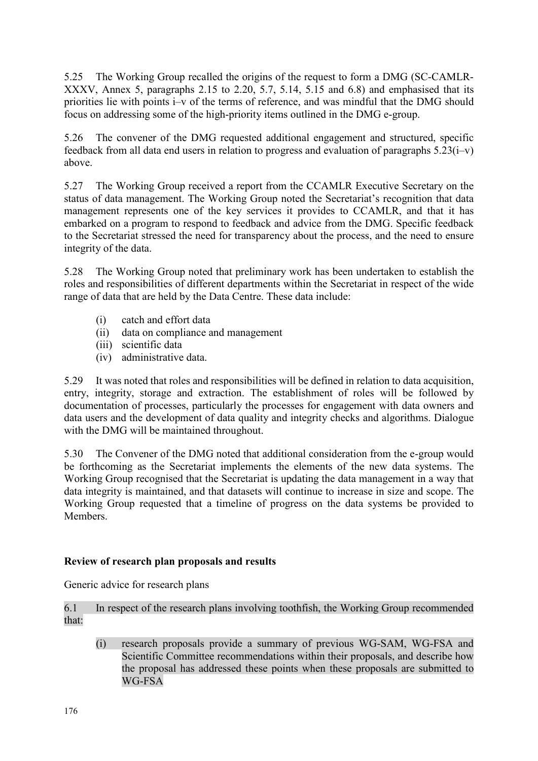<span id="page-9-0"></span>5.25 The Working Group recalled the origins of the request to form a DMG (SC-CAMLR-XXXV, Annex 5, paragraphs 2.15 to 2.20, 5.7, 5.14, 5.15 and 6.8) and emphasised that its priorities lie with points i–v of the terms of reference, and was mindful that the DMG should focus on addressing some of the high-priority items outlined in the DMG e-group.

5.26 The convener of the DMG requested additional engagement and structured, specific feedback from all data end users in relation to progress and evaluation of paragraphs  $5.23(i-v)$ above.

5.27 The Working Group received a report from the CCAMLR Executive Secretary on the status of data management. The Working Group noted the Secretariat's recognition that data management represents one of the key services it provides to CCAMLR, and that it has embarked on a program to respond to feedback and advice from the DMG. Specific feedback to the Secretariat stressed the need for transparency about the process, and the need to ensure integrity of the data.

5.28 The Working Group noted that preliminary work has been undertaken to establish the roles and responsibilities of different departments within the Secretariat in respect of the wide range of data that are held by the Data Centre. These data include:

- (i) catch and effort data
- (ii) data on compliance and management
- (iii) scientific data
- (iv) administrative data.

5.29 It was noted that roles and responsibilities will be defined in relation to data acquisition, entry, integrity, storage and extraction. The establishment of roles will be followed by documentation of processes, particularly the processes for engagement with data owners and data users and the development of data quality and integrity checks and algorithms. Dialogue with the DMG will be maintained throughout.

5.30 The Convener of the DMG noted that additional consideration from the e-group would be forthcoming as the Secretariat implements the elements of the new data systems. The Working Group recognised that the Secretariat is updating the data management in a way that data integrity is maintained, and that datasets will continue to increase in size and scope. The Working Group requested that a timeline of progress on the data systems be provided to Members.

# **Review of research plan proposals and results**

Generic advice for research plans

6.1 In respect of the research plans involving toothfish, the Working Group recommended that:

(i) research proposals provide a summary of previous WG-SAM, WG-FSA and Scientific Committee recommendations within their proposals, and describe how the proposal has addressed these points when these proposals are submitted to WG-FSA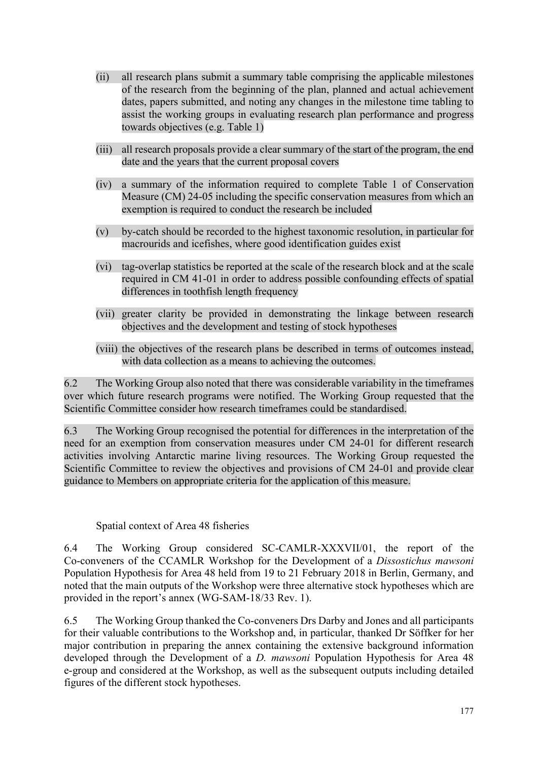- (ii) all research plans submit a summary table comprising the applicable milestones of the research from the beginning of the plan, planned and actual achievement dates, papers submitted, and noting any changes in the milestone time tabling to assist the working groups in evaluating research plan performance and progress towards objectives (e.g. Table 1)
- (iii) all research proposals provide a clear summary of the start of the program, the end date and the years that the current proposal covers
- (iv) a summary of the information required to complete Table 1 of Conservation Measure (CM) 24-05 including the specific conservation measures from which an exemption is required to conduct the research be included
- (v) by-catch should be recorded to the highest taxonomic resolution, in particular for macrourids and icefishes, where good identification guides exist
- (vi) tag-overlap statistics be reported at the scale of the research block and at the scale required in CM 41-01 in order to address possible confounding effects of spatial differences in toothfish length frequency
- (vii) greater clarity be provided in demonstrating the linkage between research objectives and the development and testing of stock hypotheses
- (viii) the objectives of the research plans be described in terms of outcomes instead, with data collection as a means to achieving the outcomes.

6.2 The Working Group also noted that there was considerable variability in the timeframes over which future research programs were notified. The Working Group requested that the Scientific Committee consider how research timeframes could be standardised.

6.3 The Working Group recognised the potential for differences in the interpretation of the need for an exemption from conservation measures under CM 24-01 for different research activities involving Antarctic marine living resources. The Working Group requested the Scientific Committee to review the objectives and provisions of CM 24-01 and provide clear guidance to Members on appropriate criteria for the application of this measure.

# Spatial context of Area 48 fisheries

6.4 The Working Group considered SC-CAMLR-XXXVII/01, the report of the Co-conveners of the CCAMLR Workshop for the Development of a *Dissostichus mawsoni* Population Hypothesis for Area 48 held from 19 to 21 February 2018 in Berlin, Germany, and noted that the main outputs of the Workshop were three alternative stock hypotheses which are provided in the report's annex (WG-SAM-18/33 Rev. 1).

6.5 The Working Group thanked the Co-conveners Drs Darby and Jones and all participants for their valuable contributions to the Workshop and, in particular, thanked Dr Söffker for her major contribution in preparing the annex containing the extensive background information developed through the Development of a *D. mawsoni* Population Hypothesis for Area 48 e-group and considered at the Workshop, as well as the subsequent outputs including detailed figures of the different stock hypotheses.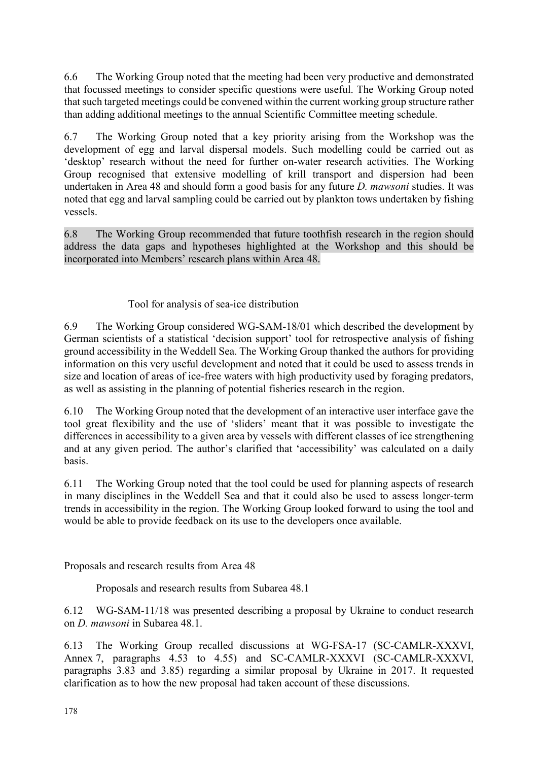6.6 The Working Group noted that the meeting had been very productive and demonstrated that focussed meetings to consider specific questions were useful. The Working Group noted that such targeted meetings could be convened within the current working group structure rather than adding additional meetings to the annual Scientific Committee meeting schedule.

6.7 The Working Group noted that a key priority arising from the Workshop was the development of egg and larval dispersal models. Such modelling could be carried out as 'desktop' research without the need for further on-water research activities. The Working Group recognised that extensive modelling of krill transport and dispersion had been undertaken in Area 48 and should form a good basis for any future *D. mawsoni* studies. It was noted that egg and larval sampling could be carried out by plankton tows undertaken by fishing vessels.

6.8 The Working Group recommended that future toothfish research in the region should address the data gaps and hypotheses highlighted at the Workshop and this should be incorporated into Members' research plans within Area 48.

# Tool for analysis of sea-ice distribution

6.9 The Working Group considered WG-SAM-18/01 which described the development by German scientists of a statistical 'decision support' tool for retrospective analysis of fishing ground accessibility in the Weddell Sea. The Working Group thanked the authors for providing information on this very useful development and noted that it could be used to assess trends in size and location of areas of ice-free waters with high productivity used by foraging predators, as well as assisting in the planning of potential fisheries research in the region.

6.10 The Working Group noted that the development of an interactive user interface gave the tool great flexibility and the use of 'sliders' meant that it was possible to investigate the differences in accessibility to a given area by vessels with different classes of ice strengthening and at any given period. The author's clarified that 'accessibility' was calculated on a daily basis.

6.11 The Working Group noted that the tool could be used for planning aspects of research in many disciplines in the Weddell Sea and that it could also be used to assess longer-term trends in accessibility in the region. The Working Group looked forward to using the tool and would be able to provide feedback on its use to the developers once available.

Proposals and research results from Area 48

Proposals and research results from Subarea 48.1

6.12 WG-SAM-11/18 was presented describing a proposal by Ukraine to conduct research on *D. mawsoni* in Subarea 48.1.

6.13 The Working Group recalled discussions at WG-FSA-17 (SC-CAMLR-XXXVI, Annex 7, paragraphs 4.53 to 4.55) and SC-CAMLR-XXXVI (SC-CAMLR-XXXVI, paragraphs 3.83 and 3.85) regarding a similar proposal by Ukraine in 2017. It requested clarification as to how the new proposal had taken account of these discussions.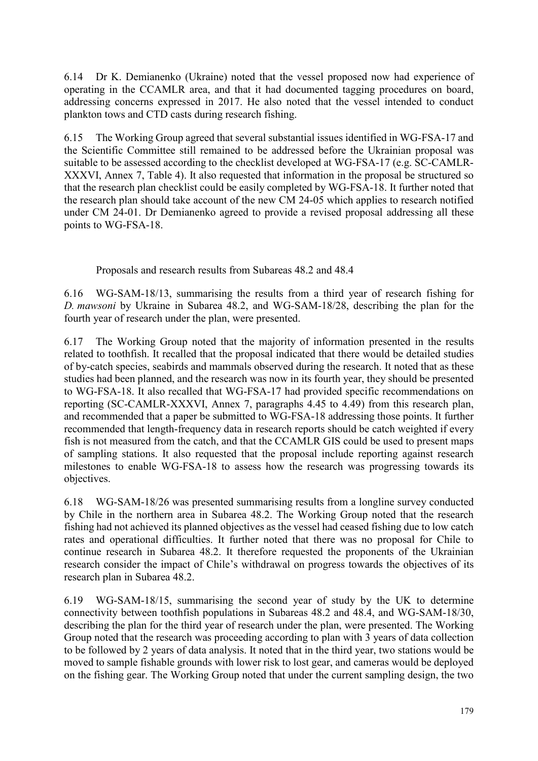6.14 Dr K. Demianenko (Ukraine) noted that the vessel proposed now had experience of operating in the CCAMLR area, and that it had documented tagging procedures on board, addressing concerns expressed in 2017. He also noted that the vessel intended to conduct plankton tows and CTD casts during research fishing.

6.15 The Working Group agreed that several substantial issues identified in WG-FSA-17 and the Scientific Committee still remained to be addressed before the Ukrainian proposal was suitable to be assessed according to the checklist developed at WG-FSA-17 (e.g. SC-CAMLR-XXXVI, Annex 7, Table 4). It also requested that information in the proposal be structured so that the research plan checklist could be easily completed by WG-FSA-18. It further noted that the research plan should take account of the new CM 24-05 which applies to research notified under CM 24-01. Dr Demianenko agreed to provide a revised proposal addressing all these points to WG-FSA-18.

Proposals and research results from Subareas 48.2 and 48.4

6.16 WG-SAM-18/13, summarising the results from a third year of research fishing for *D. mawsoni* by Ukraine in Subarea 48.2, and WG-SAM-18/28, describing the plan for the fourth year of research under the plan, were presented.

6.17 The Working Group noted that the majority of information presented in the results related to toothfish. It recalled that the proposal indicated that there would be detailed studies of by-catch species, seabirds and mammals observed during the research. It noted that as these studies had been planned, and the research was now in its fourth year, they should be presented to WG-FSA-18. It also recalled that WG-FSA-17 had provided specific recommendations on reporting (SC-CAMLR-XXXVI, Annex 7, paragraphs 4.45 to 4.49) from this research plan, and recommended that a paper be submitted to WG-FSA-18 addressing those points. It further recommended that length-frequency data in research reports should be catch weighted if every fish is not measured from the catch, and that the CCAMLR GIS could be used to present maps of sampling stations. It also requested that the proposal include reporting against research milestones to enable WG-FSA-18 to assess how the research was progressing towards its objectives.

6.18 WG-SAM-18/26 was presented summarising results from a longline survey conducted by Chile in the northern area in Subarea 48.2. The Working Group noted that the research fishing had not achieved its planned objectives as the vessel had ceased fishing due to low catch rates and operational difficulties. It further noted that there was no proposal for Chile to continue research in Subarea 48.2. It therefore requested the proponents of the Ukrainian research consider the impact of Chile's withdrawal on progress towards the objectives of its research plan in Subarea 48.2.

6.19 WG-SAM-18/15, summarising the second year of study by the UK to determine connectivity between toothfish populations in Subareas 48.2 and 48.4, and WG-SAM-18/30, describing the plan for the third year of research under the plan, were presented. The Working Group noted that the research was proceeding according to plan with 3 years of data collection to be followed by 2 years of data analysis. It noted that in the third year, two stations would be moved to sample fishable grounds with lower risk to lost gear, and cameras would be deployed on the fishing gear. The Working Group noted that under the current sampling design, the two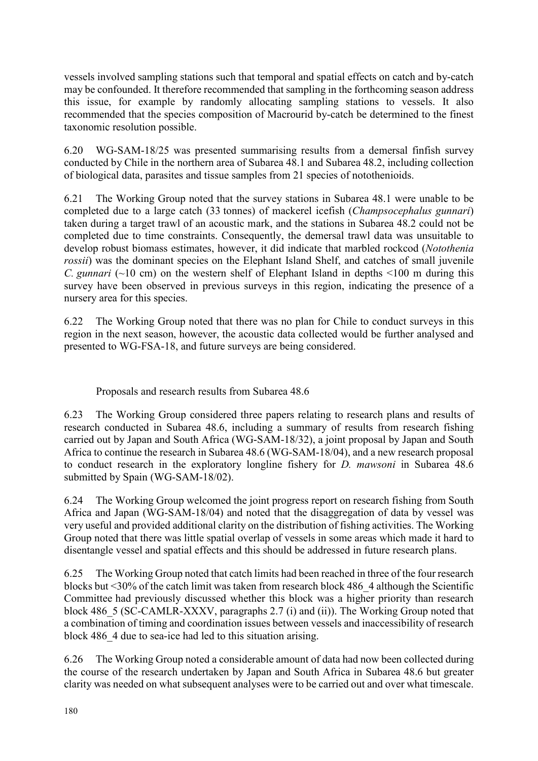vessels involved sampling stations such that temporal and spatial effects on catch and by-catch may be confounded. It therefore recommended that sampling in the forthcoming season address this issue, for example by randomly allocating sampling stations to vessels. It also recommended that the species composition of Macrourid by-catch be determined to the finest taxonomic resolution possible.

6.20 WG-SAM-18/25 was presented summarising results from a demersal finfish survey conducted by Chile in the northern area of Subarea 48.1 and Subarea 48.2, including collection of biological data, parasites and tissue samples from 21 species of notothenioids.

6.21 The Working Group noted that the survey stations in Subarea 48.1 were unable to be completed due to a large catch (33 tonnes) of mackerel icefish (*Champsocephalus gunnari*) taken during a target trawl of an acoustic mark, and the stations in Subarea 48.2 could not be completed due to time constraints. Consequently, the demersal trawl data was unsuitable to develop robust biomass estimates, however, it did indicate that marbled rockcod (*Notothenia rossii*) was the dominant species on the Elephant Island Shelf, and catches of small juvenile *C. gunnari* (~10 cm) on the western shelf of Elephant Island in depths  $\leq$ 100 m during this survey have been observed in previous surveys in this region, indicating the presence of a nursery area for this species.

6.22 The Working Group noted that there was no plan for Chile to conduct surveys in this region in the next season, however, the acoustic data collected would be further analysed and presented to WG-FSA-18, and future surveys are being considered.

Proposals and research results from Subarea 48.6

6.23 The Working Group considered three papers relating to research plans and results of research conducted in Subarea 48.6, including a summary of results from research fishing carried out by Japan and South Africa (WG-SAM-18/32), a joint proposal by Japan and South Africa to continue the research in Subarea 48.6 (WG-SAM-18/04), and a new research proposal to conduct research in the exploratory longline fishery for *D. mawsoni* in Subarea 48.6 submitted by Spain (WG-SAM-18/02).

6.24 The Working Group welcomed the joint progress report on research fishing from South Africa and Japan (WG-SAM-18/04) and noted that the disaggregation of data by vessel was very useful and provided additional clarity on the distribution of fishing activities. The Working Group noted that there was little spatial overlap of vessels in some areas which made it hard to disentangle vessel and spatial effects and this should be addressed in future research plans.

6.25 The Working Group noted that catch limits had been reached in three of the four research blocks but <30% of the catch limit was taken from research block 486\_4 although the Scientific Committee had previously discussed whether this block was a higher priority than research block 486 5 (SC-CAMLR-XXXV, paragraphs 2.7 (i) and (ii)). The Working Group noted that a combination of timing and coordination issues between vessels and inaccessibility of research block 486 4 due to sea-ice had led to this situation arising.

6.26 The Working Group noted a considerable amount of data had now been collected during the course of the research undertaken by Japan and South Africa in Subarea 48.6 but greater clarity was needed on what subsequent analyses were to be carried out and over what timescale.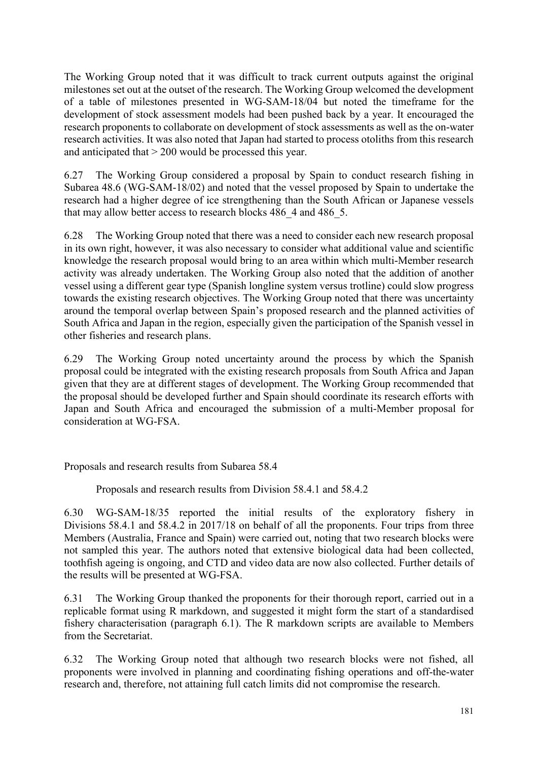The Working Group noted that it was difficult to track current outputs against the original milestones set out at the outset of the research. The Working Group welcomed the development of a table of milestones presented in WG-SAM-18/04 but noted the timeframe for the development of stock assessment models had been pushed back by a year. It encouraged the research proponents to collaborate on development of stock assessments as well as the on-water research activities. It was also noted that Japan had started to process otoliths from this research and anticipated that > 200 would be processed this year.

6.27 The Working Group considered a proposal by Spain to conduct research fishing in Subarea 48.6 (WG-SAM-18/02) and noted that the vessel proposed by Spain to undertake the research had a higher degree of ice strengthening than the South African or Japanese vessels that may allow better access to research blocks 486 4 and 486 5.

6.28 The Working Group noted that there was a need to consider each new research proposal in its own right, however, it was also necessary to consider what additional value and scientific knowledge the research proposal would bring to an area within which multi-Member research activity was already undertaken. The Working Group also noted that the addition of another vessel using a different gear type (Spanish longline system versus trotline) could slow progress towards the existing research objectives. The Working Group noted that there was uncertainty around the temporal overlap between Spain's proposed research and the planned activities of South Africa and Japan in the region, especially given the participation of the Spanish vessel in other fisheries and research plans.

6.29 The Working Group noted uncertainty around the process by which the Spanish proposal could be integrated with the existing research proposals from South Africa and Japan given that they are at different stages of development. The Working Group recommended that the proposal should be developed further and Spain should coordinate its research efforts with Japan and South Africa and encouraged the submission of a multi-Member proposal for consideration at WG-FSA.

Proposals and research results from Subarea 58.4

Proposals and research results from Division 58.4.1 and 58.4.2

6.30 WG-SAM-18/35 reported the initial results of the exploratory fishery in Divisions 58.4.1 and 58.4.2 in 2017/18 on behalf of all the proponents. Four trips from three Members (Australia, France and Spain) were carried out, noting that two research blocks were not sampled this year. The authors noted that extensive biological data had been collected, toothfish ageing is ongoing, and CTD and video data are now also collected. Further details of the results will be presented at WG-FSA.

6.31 The Working Group thanked the proponents for their thorough report, carried out in a replicable format using R markdown, and suggested it might form the start of a standardised fishery characterisation (paragraph 6.1). The R markdown scripts are available to Members from the Secretariat.

6.32 The Working Group noted that although two research blocks were not fished, all proponents were involved in planning and coordinating fishing operations and off-the-water research and, therefore, not attaining full catch limits did not compromise the research.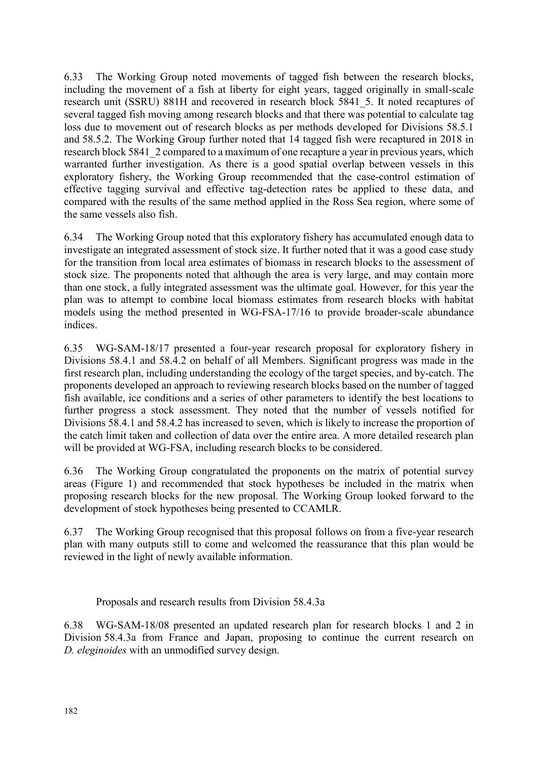6.33 The Working Group noted movements of tagged fish between the research blocks, including the movement of a fish at liberty for eight years, tagged originally in small-scale research unit (SSRU) 881H and recovered in research block 5841\_5. It noted recaptures of several tagged fish moving among research blocks and that there was potential to calculate tag loss due to movement out of research blocks as per methods developed for Divisions 58.5.1 and 58.5.2. The Working Group further noted that 14 tagged fish were recaptured in 2018 in research block 5841 2 compared to a maximum of one recapture a year in previous years, which warranted further investigation. As there is a good spatial overlap between vessels in this exploratory fishery, the Working Group recommended that the case-control estimation of effective tagging survival and effective tag-detection rates be applied to these data, and compared with the results of the same method applied in the Ross Sea region, where some of the same vessels also fish.

6.34 The Working Group noted that this exploratory fishery has accumulated enough data to investigate an integrated assessment of stock size. It further noted that it was a good case study for the transition from local area estimates of biomass in research blocks to the assessment of stock size. The proponents noted that although the area is very large, and may contain more than one stock, a fully integrated assessment was the ultimate goal. However, for this year the plan was to attempt to combine local biomass estimates from research blocks with habitat models using the method presented in WG-FSA-17/16 to provide broader-scale abundance indices.

6.35 WG-SAM-18/17 presented a four-year research proposal for exploratory fishery in Divisions 58.4.1 and 58.4.2 on behalf of all Members. Significant progress was made in the first research plan, including understanding the ecology of the target species, and by-catch. The proponents developed an approach to reviewing research blocks based on the number of tagged fish available, ice conditions and a series of other parameters to identify the best locations to further progress a stock assessment. They noted that the number of vessels notified for Divisions 58.4.1 and 58.4.2 has increased to seven, which is likely to increase the proportion of the catch limit taken and collection of data over the entire area. A more detailed research plan will be provided at WG-FSA, including research blocks to be considered.

6.36 The Working Group congratulated the proponents on the matrix of potential survey areas (Figure 1) and recommended that stock hypotheses be included in the matrix when proposing research blocks for the new proposal. The Working Group looked forward to the development of stock hypotheses being presented to CCAMLR.

6.37 The Working Group recognised that this proposal follows on from a five-year research plan with many outputs still to come and welcomed the reassurance that this plan would be reviewed in the light of newly available information.

Proposals and research results from Division 58.4.3a

6.38 WG-SAM-18/08 presented an updated research plan for research blocks 1 and 2 in Division 58.4.3a from France and Japan, proposing to continue the current research on *D. eleginoides* with an unmodified survey design.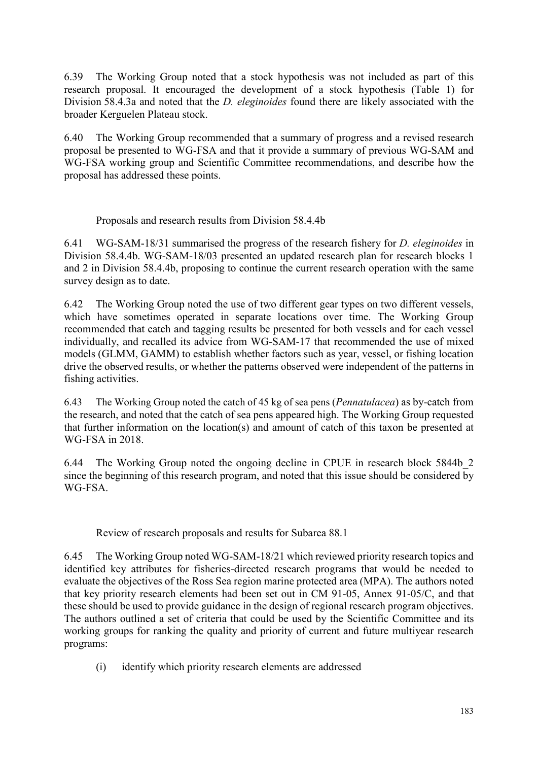6.39 The Working Group noted that a stock hypothesis was not included as part of this research proposal. It encouraged the development of a stock hypothesis (Table 1) for Division 58.4.3a and noted that the *D. eleginoides* found there are likely associated with the broader Kerguelen Plateau stock.

6.40 The Working Group recommended that a summary of progress and a revised research proposal be presented to WG-FSA and that it provide a summary of previous WG-SAM and WG-FSA working group and Scientific Committee recommendations, and describe how the proposal has addressed these points.

# Proposals and research results from Division 58.4.4b

6.41 WG-SAM-18/31 summarised the progress of the research fishery for *D. eleginoides* in Division 58.4.4b. WG-SAM-18/03 presented an updated research plan for research blocks 1 and 2 in Division 58.4.4b, proposing to continue the current research operation with the same survey design as to date.

6.42 The Working Group noted the use of two different gear types on two different vessels, which have sometimes operated in separate locations over time. The Working Group recommended that catch and tagging results be presented for both vessels and for each vessel individually, and recalled its advice from WG-SAM-17 that recommended the use of mixed models (GLMM, GAMM) to establish whether factors such as year, vessel, or fishing location drive the observed results, or whether the patterns observed were independent of the patterns in fishing activities.

6.43 The Working Group noted the catch of 45 kg of sea pens (*Pennatulacea*) as by-catch from the research, and noted that the catch of sea pens appeared high. The Working Group requested that further information on the location(s) and amount of catch of this taxon be presented at WG-FSA in 2018.

6.44 The Working Group noted the ongoing decline in CPUE in research block 5844b\_2 since the beginning of this research program, and noted that this issue should be considered by WG-FSA.

Review of research proposals and results for Subarea 88.1

6.45 The Working Group noted WG-SAM-18/21 which reviewed priority research topics and identified key attributes for fisheries-directed research programs that would be needed to evaluate the objectives of the Ross Sea region marine protected area (MPA). The authors noted that key priority research elements had been set out in CM 91-05, Annex 91-05/C, and that these should be used to provide guidance in the design of regional research program objectives. The authors outlined a set of criteria that could be used by the Scientific Committee and its working groups for ranking the quality and priority of current and future multiyear research programs:

(i) identify which priority research elements are addressed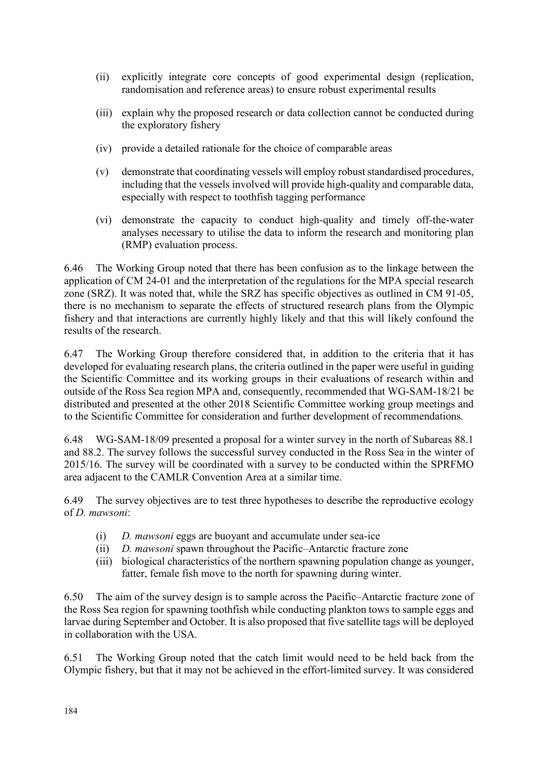- (ii) explicitly integrate core concepts of good experimental design (replication, randomisation and reference areas) to ensure robust experimental results
- (iii) explain why the proposed research or data collection cannot be conducted during the exploratory fishery
- (iv) provide a detailed rationale for the choice of comparable areas
- (v) demonstrate that coordinating vessels will employ robust standardised procedures, including that the vessels involved will provide high-quality and comparable data, especially with respect to toothfish tagging performance
- (vi) demonstrate the capacity to conduct high-quality and timely off-the-water analyses necessary to utilise the data to inform the research and monitoring plan (RMP) evaluation process.

6.46 The Working Group noted that there has been confusion as to the linkage between the application of CM 24-01 and the interpretation of the regulations for the MPA special research zone (SRZ). It was noted that, while the SRZ has specific objectives as outlined in CM 91-05, there is no mechanism to separate the effects of structured research plans from the Olympic fishery and that interactions are currently highly likely and that this will likely confound the results of the research.

6.47 The Working Group therefore considered that, in addition to the criteria that it has developed for evaluating research plans, the criteria outlined in the paper were useful in guiding the Scientific Committee and its working groups in their evaluations of research within and outside of the Ross Sea region MPA and, consequently, recommended that WG-SAM-18/21 be distributed and presented at the other 2018 Scientific Committee working group meetings and to the Scientific Committee for consideration and further development of recommendations.

6.48 WG-SAM-18/09 presented a proposal for a winter survey in the north of Subareas 88.1 and 88.2. The survey follows the successful survey conducted in the Ross Sea in the winter of 2015/16. The survey will be coordinated with a survey to be conducted within the SPRFMO area adjacent to the CAMLR Convention Area at a similar time.

6.49 The survey objectives are to test three hypotheses to describe the reproductive ecology of *D. mawsoni*:

- (i) *D. mawsoni* eggs are buoyant and accumulate under sea-ice
- (ii) *D. mawsoni* spawn throughout the Pacific–Antarctic fracture zone
- (iii) biological characteristics of the northern spawning population change as younger, fatter, female fish move to the north for spawning during winter.

6.50 The aim of the survey design is to sample across the Pacific–Antarctic fracture zone of the Ross Sea region for spawning toothfish while conducting plankton tows to sample eggs and larvae during September and October. It is also proposed that five satellite tags will be deployed in collaboration with the USA.

6.51 The Working Group noted that the catch limit would need to be held back from the Olympic fishery, but that it may not be achieved in the effort-limited survey. It was considered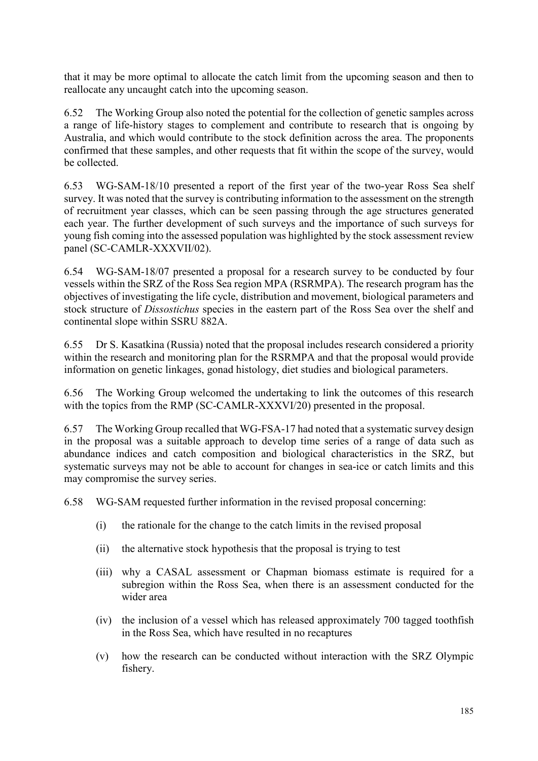that it may be more optimal to allocate the catch limit from the upcoming season and then to reallocate any uncaught catch into the upcoming season.

6.52 The Working Group also noted the potential for the collection of genetic samples across a range of life-history stages to complement and contribute to research that is ongoing by Australia, and which would contribute to the stock definition across the area. The proponents confirmed that these samples, and other requests that fit within the scope of the survey, would be collected.

6.53 WG-SAM-18/10 presented a report of the first year of the two-year Ross Sea shelf survey. It was noted that the survey is contributing information to the assessment on the strength of recruitment year classes, which can be seen passing through the age structures generated each year. The further development of such surveys and the importance of such surveys for young fish coming into the assessed population was highlighted by the stock assessment review panel (SC-CAMLR-XXXVII/02).

6.54 WG-SAM-18/07 presented a proposal for a research survey to be conducted by four vessels within the SRZ of the Ross Sea region MPA (RSRMPA). The research program has the objectives of investigating the life cycle, distribution and movement, biological parameters and stock structure of *Dissostichus* species in the eastern part of the Ross Sea over the shelf and continental slope within SSRU 882A.

6.55 Dr S. Kasatkina (Russia) noted that the proposal includes research considered a priority within the research and monitoring plan for the RSRMPA and that the proposal would provide information on genetic linkages, gonad histology, diet studies and biological parameters.

6.56 The Working Group welcomed the undertaking to link the outcomes of this research with the topics from the RMP (SC-CAMLR-XXXVI/20) presented in the proposal.

6.57 The Working Group recalled that WG-FSA-17 had noted that a systematic survey design in the proposal was a suitable approach to develop time series of a range of data such as abundance indices and catch composition and biological characteristics in the SRZ, but systematic surveys may not be able to account for changes in sea-ice or catch limits and this may compromise the survey series.

6.58 WG-SAM requested further information in the revised proposal concerning:

- (i) the rationale for the change to the catch limits in the revised proposal
- (ii) the alternative stock hypothesis that the proposal is trying to test
- (iii) why a CASAL assessment or Chapman biomass estimate is required for a subregion within the Ross Sea, when there is an assessment conducted for the wider area
- (iv) the inclusion of a vessel which has released approximately 700 tagged toothfish in the Ross Sea, which have resulted in no recaptures
- (v) how the research can be conducted without interaction with the SRZ Olympic fishery.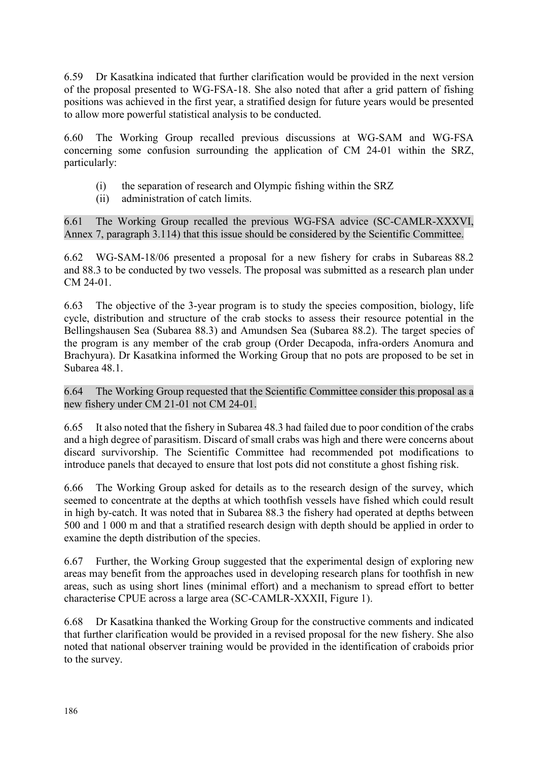6.59 Dr Kasatkina indicated that further clarification would be provided in the next version of the proposal presented to WG-FSA-18. She also noted that after a grid pattern of fishing positions was achieved in the first year, a stratified design for future years would be presented to allow more powerful statistical analysis to be conducted.

6.60 The Working Group recalled previous discussions at WG-SAM and WG-FSA concerning some confusion surrounding the application of CM 24-01 within the SRZ, particularly:

- (i) the separation of research and Olympic fishing within the SRZ
- (ii) administration of catch limits.

6.61 The Working Group recalled the previous WG-FSA advice (SC-CAMLR-XXXVI, Annex 7, paragraph 3.114) that this issue should be considered by the Scientific Committee.

6.62 WG-SAM-18/06 presented a proposal for a new fishery for crabs in Subareas 88.2 and 88.3 to be conducted by two vessels. The proposal was submitted as a research plan under CM 24-01.

6.63 The objective of the 3-year program is to study the species composition, biology, life cycle, distribution and structure of the crab stocks to assess their resource potential in the Bellingshausen Sea (Subarea 88.3) and Amundsen Sea (Subarea 88.2). The target species of the program is any member of the crab group (Order Decapoda, infra-orders Anomura and Brachyura). Dr Kasatkina informed the Working Group that no pots are proposed to be set in Subarea 48.1.

6.64 The Working Group requested that the Scientific Committee consider this proposal as a new fishery under CM 21-01 not CM 24-01.

6.65 It also noted that the fishery in Subarea 48.3 had failed due to poor condition of the crabs and a high degree of parasitism. Discard of small crabs was high and there were concerns about discard survivorship. The Scientific Committee had recommended pot modifications to introduce panels that decayed to ensure that lost pots did not constitute a ghost fishing risk.

6.66 The Working Group asked for details as to the research design of the survey, which seemed to concentrate at the depths at which toothfish vessels have fished which could result in high by-catch. It was noted that in Subarea 88.3 the fishery had operated at depths between 500 and 1 000 m and that a stratified research design with depth should be applied in order to examine the depth distribution of the species.

6.67 Further, the Working Group suggested that the experimental design of exploring new areas may benefit from the approaches used in developing research plans for toothfish in new areas, such as using short lines (minimal effort) and a mechanism to spread effort to better characterise CPUE across a large area (SC-CAMLR-XXXII, Figure 1).

6.68 Dr Kasatkina thanked the Working Group for the constructive comments and indicated that further clarification would be provided in a revised proposal for the new fishery. She also noted that national observer training would be provided in the identification of craboids prior to the survey.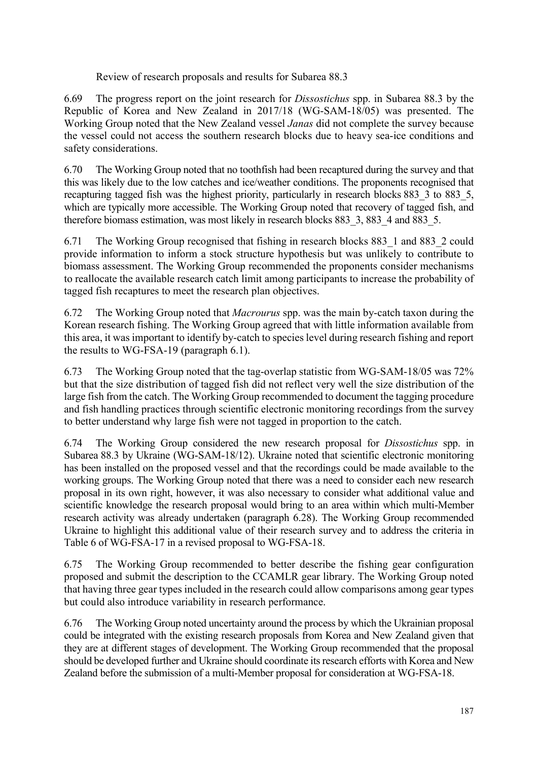Review of research proposals and results for Subarea 88.3

6.69 The progress report on the joint research for *Dissostichus* spp. in Subarea 88.3 by the Republic of Korea and New Zealand in 2017/18 (WG-SAM-18/05) was presented. The Working Group noted that the New Zealand vessel *Janas* did not complete the survey because the vessel could not access the southern research blocks due to heavy sea-ice conditions and safety considerations.

6.70 The Working Group noted that no toothfish had been recaptured during the survey and that this was likely due to the low catches and ice/weather conditions. The proponents recognised that recapturing tagged fish was the highest priority, particularly in research blocks 883 3 to 883 5, which are typically more accessible. The Working Group noted that recovery of tagged fish, and therefore biomass estimation, was most likely in research blocks 883 3, 883 4 and 883 5.

6.71 The Working Group recognised that fishing in research blocks 883\_1 and 883\_2 could provide information to inform a stock structure hypothesis but was unlikely to contribute to biomass assessment. The Working Group recommended the proponents consider mechanisms to reallocate the available research catch limit among participants to increase the probability of tagged fish recaptures to meet the research plan objectives.

6.72 The Working Group noted that *Macrourus* spp. was the main by-catch taxon during the Korean research fishing. The Working Group agreed that with little information available from this area, it was important to identify by-catch to species level during research fishing and report the results to WG-FSA-19 (paragraph 6.1).

6.73 The Working Group noted that the tag-overlap statistic from WG-SAM-18/05 was 72% but that the size distribution of tagged fish did not reflect very well the size distribution of the large fish from the catch. The Working Group recommended to document the tagging procedure and fish handling practices through scientific electronic monitoring recordings from the survey to better understand why large fish were not tagged in proportion to the catch.

6.74 The Working Group considered the new research proposal for *Dissostichus* spp. in Subarea 88.3 by Ukraine (WG-SAM-18/12). Ukraine noted that scientific electronic monitoring has been installed on the proposed vessel and that the recordings could be made available to the working groups. The Working Group noted that there was a need to consider each new research proposal in its own right, however, it was also necessary to consider what additional value and scientific knowledge the research proposal would bring to an area within which multi-Member research activity was already undertaken (paragraph 6.28). The Working Group recommended Ukraine to highlight this additional value of their research survey and to address the criteria in Table 6 of WG-FSA-17 in a revised proposal to WG-FSA-18.

6.75 The Working Group recommended to better describe the fishing gear configuration proposed and submit the description to the CCAMLR gear library. The Working Group noted that having three gear types included in the research could allow comparisons among gear types but could also introduce variability in research performance.

6.76 The Working Group noted uncertainty around the process by which the Ukrainian proposal could be integrated with the existing research proposals from Korea and New Zealand given that they are at different stages of development. The Working Group recommended that the proposal should be developed further and Ukraine should coordinate its research efforts with Korea and New Zealand before the submission of a multi-Member proposal for consideration at WG-FSA-18.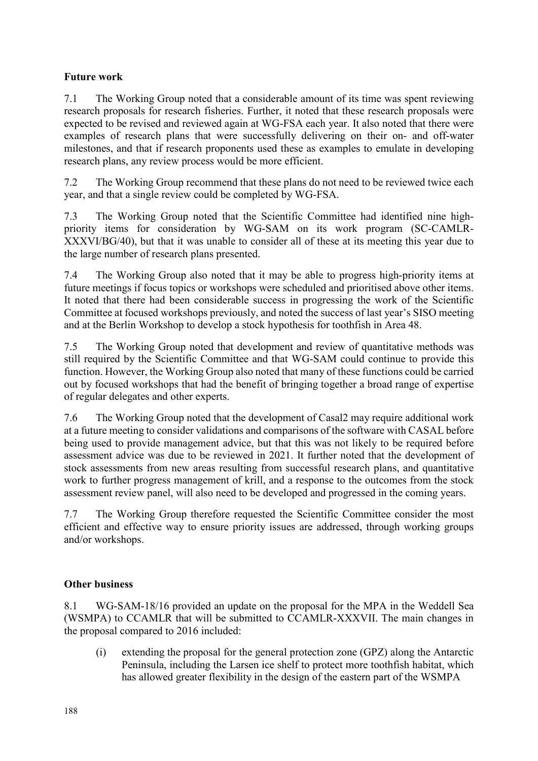# <span id="page-21-0"></span>**Future work**

7.1 The Working Group noted that a considerable amount of its time was spent reviewing research proposals for research fisheries. Further, it noted that these research proposals were expected to be revised and reviewed again at WG-FSA each year. It also noted that there were examples of research plans that were successfully delivering on their on- and off-water milestones, and that if research proponents used these as examples to emulate in developing research plans, any review process would be more efficient.

7.2 The Working Group recommend that these plans do not need to be reviewed twice each year, and that a single review could be completed by WG-FSA.

7.3 The Working Group noted that the Scientific Committee had identified nine highpriority items for consideration by WG-SAM on its work program (SC-CAMLR-XXXVI/BG/40), but that it was unable to consider all of these at its meeting this year due to the large number of research plans presented.

7.4 The Working Group also noted that it may be able to progress high-priority items at future meetings if focus topics or workshops were scheduled and prioritised above other items. It noted that there had been considerable success in progressing the work of the Scientific Committee at focused workshops previously, and noted the success of last year's SISO meeting and at the Berlin Workshop to develop a stock hypothesis for toothfish in Area 48.

7.5 The Working Group noted that development and review of quantitative methods was still required by the Scientific Committee and that WG-SAM could continue to provide this function. However, the Working Group also noted that many of these functions could be carried out by focused workshops that had the benefit of bringing together a broad range of expertise of regular delegates and other experts.

7.6 The Working Group noted that the development of Casal2 may require additional work at a future meeting to consider validations and comparisons of the software with CASAL before being used to provide management advice, but that this was not likely to be required before assessment advice was due to be reviewed in 2021. It further noted that the development of stock assessments from new areas resulting from successful research plans, and quantitative work to further progress management of krill, and a response to the outcomes from the stock assessment review panel, will also need to be developed and progressed in the coming years.

7.7 The Working Group therefore requested the Scientific Committee consider the most efficient and effective way to ensure priority issues are addressed, through working groups and/or workshops.

# **Other business**

8.1 WG-SAM-18/16 provided an update on the proposal for the MPA in the Weddell Sea (WSMPA) to CCAMLR that will be submitted to CCAMLR-XXXVII. The main changes in the proposal compared to 2016 included:

(i) extending the proposal for the general protection zone (GPZ) along the Antarctic Peninsula, including the Larsen ice shelf to protect more toothfish habitat, which has allowed greater flexibility in the design of the eastern part of the WSMPA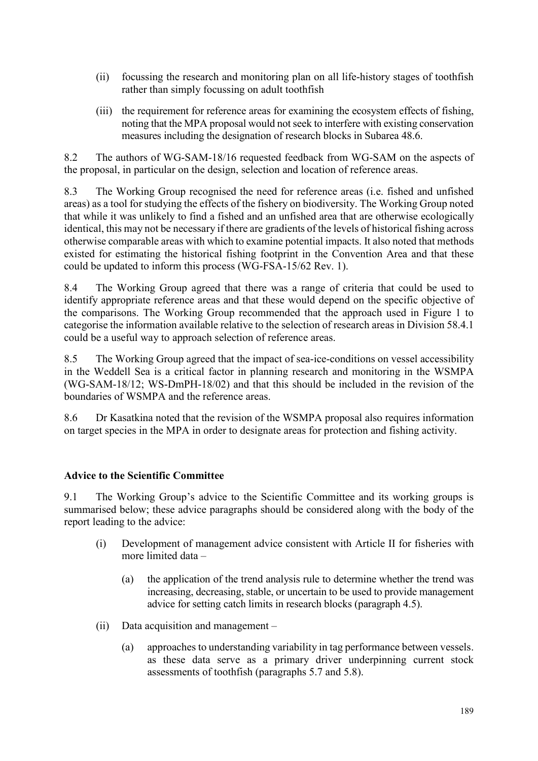- <span id="page-22-0"></span>(ii) focussing the research and monitoring plan on all life-history stages of toothfish rather than simply focussing on adult toothfish
- (iii) the requirement for reference areas for examining the ecosystem effects of fishing, noting that the MPA proposal would not seek to interfere with existing conservation measures including the designation of research blocks in Subarea 48.6.

8.2 The authors of WG-SAM-18/16 requested feedback from WG-SAM on the aspects of the proposal, in particular on the design, selection and location of reference areas.

8.3 The Working Group recognised the need for reference areas (i.e. fished and unfished areas) as a tool for studying the effects of the fishery on biodiversity. The Working Group noted that while it was unlikely to find a fished and an unfished area that are otherwise ecologically identical, this may not be necessary if there are gradients of the levels of historical fishing across otherwise comparable areas with which to examine potential impacts. It also noted that methods existed for estimating the historical fishing footprint in the Convention Area and that these could be updated to inform this process (WG-FSA-15/62 Rev. 1).

8.4 The Working Group agreed that there was a range of criteria that could be used to identify appropriate reference areas and that these would depend on the specific objective of the comparisons. The Working Group recommended that the approach used in Figure 1 to categorise the information available relative to the selection of research areas in Division 58.4.1 could be a useful way to approach selection of reference areas.

8.5 The Working Group agreed that the impact of sea-ice-conditions on vessel accessibility in the Weddell Sea is a critical factor in planning research and monitoring in the WSMPA (WG-SAM-18/12; WS-DmPH-18/02) and that this should be included in the revision of the boundaries of WSMPA and the reference areas.

8.6 Dr Kasatkina noted that the revision of the WSMPA proposal also requires information on target species in the MPA in order to designate areas for protection and fishing activity.

# **Advice to the Scientific Committee**

9.1 The Working Group's advice to the Scientific Committee and its working groups is summarised below; these advice paragraphs should be considered along with the body of the report leading to the advice:

- (i) Development of management advice consistent with Article II for fisheries with more limited data –
	- (a) the application of the trend analysis rule to determine whether the trend was increasing, decreasing, stable, or uncertain to be used to provide management advice for setting catch limits in research blocks (paragraph 4.5).
- (ii) Data acquisition and management
	- (a) approaches to understanding variability in tag performance between vessels. as these data serve as a primary driver underpinning current stock assessments of toothfish (paragraphs 5.7 and 5.8).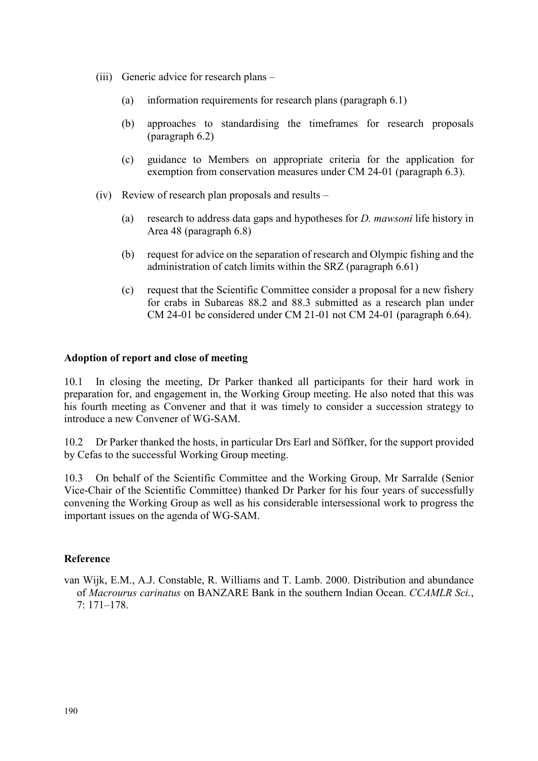- <span id="page-23-0"></span>(iii) Generic advice for research plans –
	- (a) information requirements for research plans (paragraph 6.1)
	- (b) approaches to standardising the timeframes for research proposals (paragraph 6.2)
	- (c) guidance to Members on appropriate criteria for the application for exemption from conservation measures under CM 24-01 (paragraph 6.3).
- (iv) Review of research plan proposals and results
	- (a) research to address data gaps and hypotheses for *D. mawsoni* life history in Area 48 (paragraph 6.8)
	- (b) request for advice on the separation of research and Olympic fishing and the administration of catch limits within the SRZ (paragraph 6.61)
	- (c) request that the Scientific Committee consider a proposal for a new fishery for crabs in Subareas 88.2 and 88.3 submitted as a research plan under CM 24-01 be considered under CM 21-01 not CM 24-01 (paragraph 6.64).

#### **Adoption of report and close of meeting**

10.1 In closing the meeting, Dr Parker thanked all participants for their hard work in preparation for, and engagement in, the Working Group meeting. He also noted that this was his fourth meeting as Convener and that it was timely to consider a succession strategy to introduce a new Convener of WG-SAM.

10.2 Dr Parker thanked the hosts, in particular Drs Earl and Söffker, for the support provided by Cefas to the successful Working Group meeting.

10.3 On behalf of the Scientific Committee and the Working Group, Mr Sarralde (Senior Vice-Chair of the Scientific Committee) thanked Dr Parker for his four years of successfully convening the Working Group as well as his considerable intersessional work to progress the important issues on the agenda of WG-SAM.

#### **Reference**

van Wijk, E.M., A.J. Constable, R. Williams and T. Lamb. 2000. Distribution and abundance of *Macrourus carinatus* on BANZARE Bank in the southern Indian Ocean. *CCAMLR Sci.*, 7: 171–178.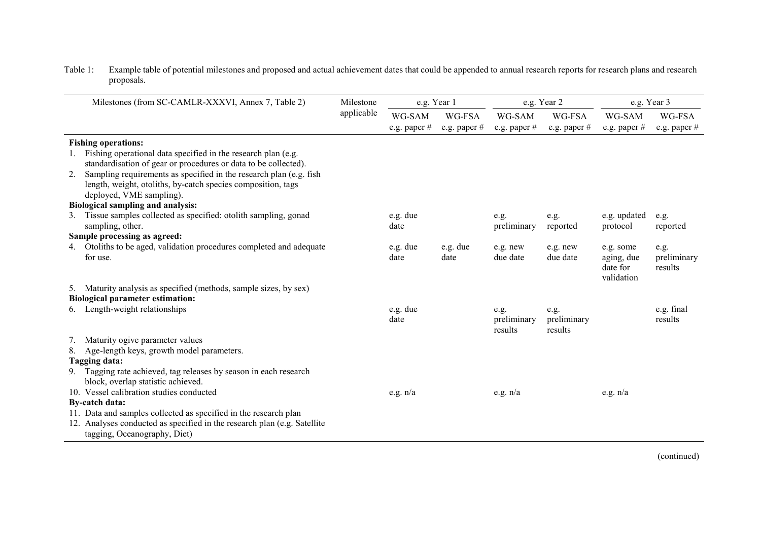| Milestones (from SC-CAMLR-XXXVI, Annex 7, Table 2)                       | Milestone  |                        | e.g. Year 1            |                          | e.g. Year 2              | e.g. Year 3              |                        |  |  |
|--------------------------------------------------------------------------|------------|------------------------|------------------------|--------------------------|--------------------------|--------------------------|------------------------|--|--|
|                                                                          | applicable | WG-SAM<br>e.g. paper # | WG-FSA<br>e.g. paper # | WG-SAM<br>e.g. paper $#$ | WG-FSA<br>e.g. paper $#$ | WG-SAM<br>e.g. paper $#$ | WG-FSA<br>e.g. paper # |  |  |
| <b>Fishing operations:</b>                                               |            |                        |                        |                          |                          |                          |                        |  |  |
| Fishing operational data specified in the research plan (e.g.            |            |                        |                        |                          |                          |                          |                        |  |  |
| standardisation of gear or procedures or data to be collected).          |            |                        |                        |                          |                          |                          |                        |  |  |
| Sampling requirements as specified in the research plan (e.g. fish<br>2. |            |                        |                        |                          |                          |                          |                        |  |  |
| length, weight, otoliths, by-catch species composition, tags             |            |                        |                        |                          |                          |                          |                        |  |  |
| deployed, VME sampling).                                                 |            |                        |                        |                          |                          |                          |                        |  |  |
| Biological sampling and analysis:                                        |            |                        |                        |                          |                          |                          |                        |  |  |
| Tissue samples collected as specified: otolith sampling, gonad           |            | e.g. due<br>date       |                        | e.g.                     | e.g.                     | e.g. updated             | e.g.                   |  |  |
| sampling, other.<br>Sample processing as agreed:                         |            |                        |                        | preliminary              | reported                 | protocol                 | reported               |  |  |
| Otoliths to be aged, validation procedures completed and adequate<br>4.  |            | e.g. due               | e.g. due               | e.g. new                 | e.g. new                 | e.g. some                | e.g.                   |  |  |
| for use.                                                                 |            | date                   | date                   | due date                 | due date                 | aging, due               | preliminary            |  |  |
|                                                                          |            |                        |                        |                          |                          | date for<br>validation   | results                |  |  |
| Maturity analysis as specified (methods, sample sizes, by sex)<br>5.     |            |                        |                        |                          |                          |                          |                        |  |  |
| <b>Biological parameter estimation:</b>                                  |            |                        |                        |                          |                          |                          |                        |  |  |
| Length-weight relationships                                              |            | e.g. due               |                        | e.g.                     | e.g.                     |                          | e.g. final             |  |  |
|                                                                          |            | date                   |                        | preliminary              | preliminary              |                          | results                |  |  |
|                                                                          |            |                        |                        | results                  | results                  |                          |                        |  |  |
| Maturity ogive parameter values                                          |            |                        |                        |                          |                          |                          |                        |  |  |
| Age-length keys, growth model parameters.<br>8.<br>Tagging data:         |            |                        |                        |                          |                          |                          |                        |  |  |
| Tagging rate achieved, tag releases by season in each research<br>9.     |            |                        |                        |                          |                          |                          |                        |  |  |
| block, overlap statistic achieved.                                       |            |                        |                        |                          |                          |                          |                        |  |  |
| 10. Vessel calibration studies conducted                                 |            | e.g. $n/a$             |                        | e.g. $n/a$               |                          | e.g. $n/a$               |                        |  |  |
| <b>By-catch data:</b>                                                    |            |                        |                        |                          |                          |                          |                        |  |  |
| 11. Data and samples collected as specified in the research plan         |            |                        |                        |                          |                          |                          |                        |  |  |
| 12. Analyses conducted as specified in the research plan (e.g. Satellite |            |                        |                        |                          |                          |                          |                        |  |  |
| tagging, Oceanography, Diet)                                             |            |                        |                        |                          |                          |                          |                        |  |  |

<span id="page-24-0"></span>Table 1: Example table of potential milestones and proposed and actual achievement dates that could be appended to annual research reports for research plans and research proposals.

(continued)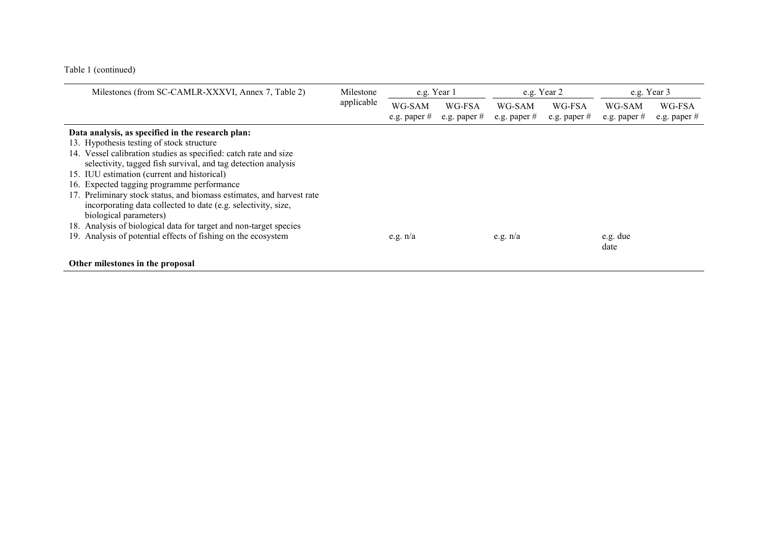Table 1 (continued)

| Milestones (from SC-CAMLR-XXXVI, Annex 7, Table 2)                                                                  | Milestone  | e.g. Year 1    |                |                | e.g. Year 2    | e.g. Year 3      |                |  |  |
|---------------------------------------------------------------------------------------------------------------------|------------|----------------|----------------|----------------|----------------|------------------|----------------|--|--|
|                                                                                                                     | applicable | WG-SAM         | WG-FSA         | WG-SAM         | WG-FSA         | WG-SAM           | WG-FSA         |  |  |
|                                                                                                                     |            | e.g. paper $#$ | e.g. paper $#$ | e.g. paper $#$ | e.g. paper $#$ | e.g. paper $#$   | e.g. paper $#$ |  |  |
| Data analysis, as specified in the research plan:<br>13. Hypothesis testing of stock structure                      |            |                |                |                |                |                  |                |  |  |
| 14. Vessel calibration studies as specified: catch rate and size                                                    |            |                |                |                |                |                  |                |  |  |
| selectivity, tagged fish survival, and tag detection analysis<br>15. IUU estimation (current and historical)        |            |                |                |                |                |                  |                |  |  |
| 16. Expected tagging programme performance<br>17. Preliminary stock status, and biomass estimates, and harvest rate |            |                |                |                |                |                  |                |  |  |
| incorporating data collected to date (e.g. selectivity, size,                                                       |            |                |                |                |                |                  |                |  |  |
| biological parameters)<br>18. Analysis of biological data for target and non-target species                         |            |                |                |                |                |                  |                |  |  |
| 19. Analysis of potential effects of fishing on the ecosystem                                                       |            | e.g. $n/a$     |                | e.g. $n/a$     |                | e.g. due<br>date |                |  |  |
| Other milestones in the proposal                                                                                    |            |                |                |                |                |                  |                |  |  |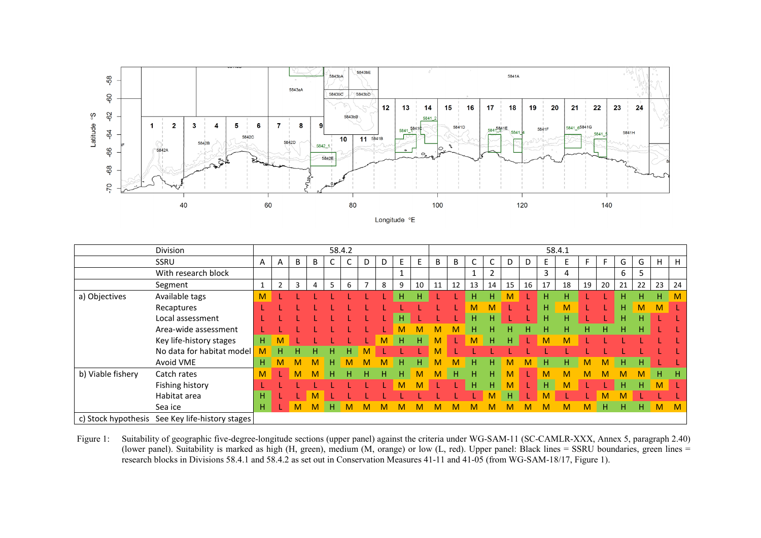<span id="page-26-0"></span>

|                   | Division                                        |    |                |   |   |   | 58.4.2 |                          |    |    |    |    |    |    |    |    |    |    | 58.4.1 |    |    |    |    |    |    |
|-------------------|-------------------------------------------------|----|----------------|---|---|---|--------|--------------------------|----|----|----|----|----|----|----|----|----|----|--------|----|----|----|----|----|----|
|                   | <b>SSRU</b>                                     | A  | A              | B | B | U |        | D                        | D  | E. | E. | B  | B  |    |    | D  | D  | E. |        |    |    | G  | G  | н  | H  |
|                   | With research block                             |    |                |   |   |   |        |                          |    |    |    |    |    |    |    |    |    | 3  | 4      |    |    | 6  | 5  |    |    |
|                   | Segment                                         |    | $\overline{2}$ | 3 | 4 | 5 | 6      | $\overline{\phantom{a}}$ | 8  | 9  | 10 | 11 | 12 | 13 | 14 | 15 | 16 | 17 | 18     | 19 | 20 | 21 | 22 | 23 | 24 |
| a) Objectives     | Available tags                                  | M  |                |   |   |   |        |                          |    | H. | н  |    |    | H  | H. | M  |    | н  | H      |    |    | н. | н. | H. | M  |
|                   | Recaptures                                      |    |                |   |   |   |        |                          |    |    |    |    |    | м  | м  |    |    | н  | M      |    |    | н. | М  | M  |    |
|                   | Local assessment                                |    |                |   |   |   |        |                          |    |    |    |    |    | н  | H. |    |    | н  | H      |    |    | н. | H  |    |    |
|                   | Area-wide assessment                            |    |                |   |   |   |        |                          |    |    |    |    | м  | н  | н  | н  | н  | н  | H      | н  | н  | н. | H. |    |    |
|                   | Key life-history stages                         | н. |                |   |   |   |        |                          | м  | H  | н  | M  | 1  | M  | H. | н  |    | M  | M      |    |    |    |    |    |    |
|                   | No data for habitat model                       | M  | н              | н | н | н | H.     | M                        |    |    |    | M  |    |    |    |    |    |    |        |    |    |    |    |    |    |
|                   | Avoid VME                                       | H. | M              | м | M | н | M      | M                        | M  | H  | н  | M  | M  | H  | H. | м  | M  | н  | Η.     | M  | M  | H. | H. |    |    |
| b) Viable fishery | Catch rates                                     | M  |                | M | м | н | н      | н                        | H. | H  | M  | M  | н  | н  | н  | M  |    | M  | м      | м  |    | м  | м  | H. | н  |
|                   | Fishing history                                 |    |                |   |   |   |        |                          |    |    | М  |    |    | н  | H  | М  |    | H  | м      |    |    | н  | н. | M  |    |
|                   | Habitat area                                    | н  |                |   | м |   |        |                          |    |    |    |    |    |    | M  | н  |    | M  |        |    |    |    |    |    |    |
|                   | Sea ice                                         | н. |                | M | М | н |        | м                        |    |    |    |    | м  |    | м  | м  | м  | м  | м      | M  | н  | н. | н. | M  | M  |
|                   | c) Stock hypothesis See Key life-history stages |    |                |   |   |   |        |                          |    |    |    |    |    |    |    |    |    |    |        |    |    |    |    |    |    |

Figure 1: Suitability of geographic five-degree-longitude sections (upper panel) against the criteria under WG-SAM-11 (SC-CAMLR-XXX, Annex 5, paragraph 2.40) (lower panel). Suitability is marked as high (H, green), medium (M, orange) or low (L, red). Upper panel: Black lines = SSRU boundaries, green lines = research blocks in Divisions 58.4.1 and 58.4.2 as set out in Conservation Measures 41-11 and 41-05 (from WG-SAM-18/17, Figure 1).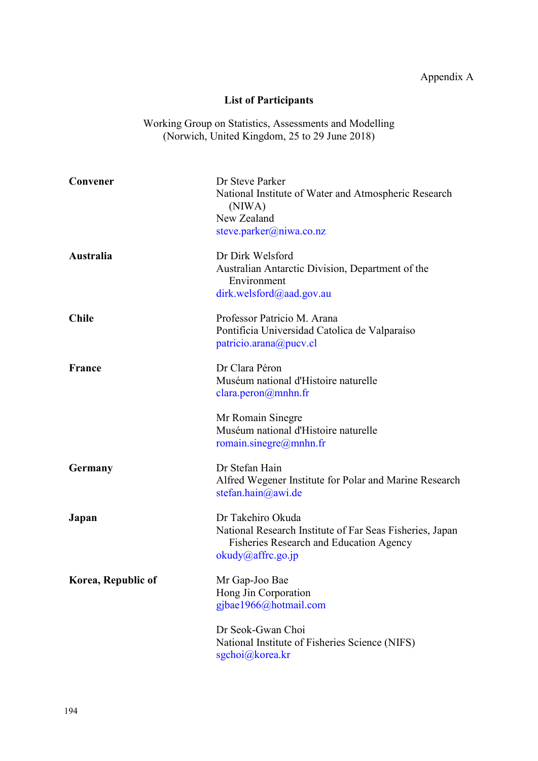# Appendix A

# **List of Participants**

<span id="page-27-0"></span>Working Group on Statistics, Assessments and Modelling (Norwich, United Kingdom, 25 to 29 June 2018)

| Convener           | Dr Steve Parker<br>National Institute of Water and Atmospheric Research<br>(NIWA)<br>New Zealand<br>steve.parker@niwa.co.nz                   |
|--------------------|-----------------------------------------------------------------------------------------------------------------------------------------------|
| Australia          | Dr Dirk Welsford<br>Australian Antarctic Division, Department of the<br>Environment<br>dirk.welsford@aad.gov.au                               |
| <b>Chile</b>       | Professor Patricio M. Arana<br>Pontificia Universidad Catolica de Valparaíso<br>patricio.arana@pucv.cl                                        |
| <b>France</b>      | Dr Clara Péron<br>Muséum national d'Histoire naturelle<br>$\text{clara.peron}\xspace(\omega\text{mnhn.fr})$                                   |
|                    | Mr Romain Sinegre<br>Muséum national d'Histoire naturelle<br>romain.sinegre@mnhn.fr                                                           |
| Germany            | Dr Stefan Hain<br>Alfred Wegener Institute for Polar and Marine Research<br>stefan.hain@awi.de                                                |
| Japan              | Dr Takehiro Okuda<br>National Research Institute of Far Seas Fisheries, Japan<br>Fisheries Research and Education Agency<br>okudy@affrc.go.jp |
| Korea, Republic of | Mr Gap-Joo Bae<br>Hong Jin Corporation<br>gjbae1966@hotmail.com                                                                               |
|                    | Dr Seok-Gwan Choi<br>National Institute of Fisheries Science (NIFS)<br>sgchoi@korea.kr                                                        |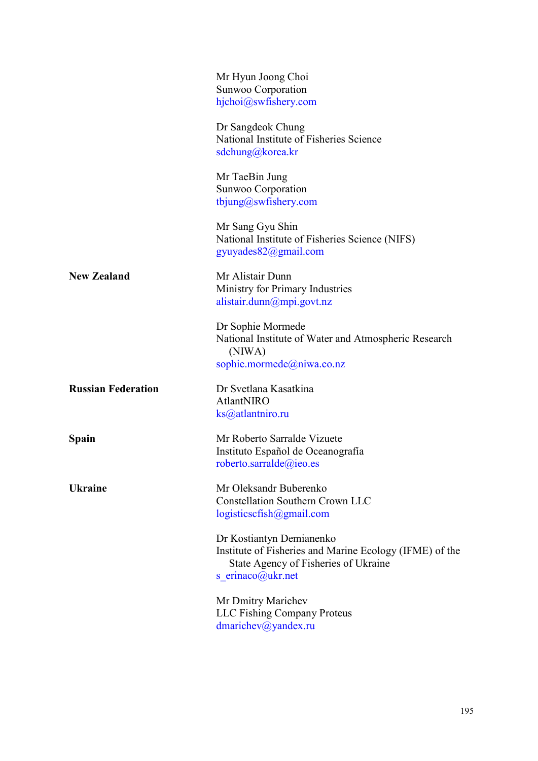|                           | Mr Hyun Joong Choi<br>Sunwoo Corporation<br>hjchoi@swfishery.com                                                                                 |
|---------------------------|--------------------------------------------------------------------------------------------------------------------------------------------------|
|                           | Dr Sangdeok Chung<br>National Institute of Fisheries Science<br>sdchung@korea.kr                                                                 |
|                           | Mr TaeBin Jung<br>Sunwoo Corporation<br>tbjung@swfishery.com                                                                                     |
|                           | Mr Sang Gyu Shin<br>National Institute of Fisheries Science (NIFS)<br>gyuyades82@gmail.com                                                       |
| <b>New Zealand</b>        | Mr Alistair Dunn<br>Ministry for Primary Industries<br>alistair.dunn@mpi.govt.nz                                                                 |
|                           | Dr Sophie Mormede<br>National Institute of Water and Atmospheric Research<br>(NIWA)<br>sophie.mormede@niwa.co.nz                                 |
| <b>Russian Federation</b> | Dr Svetlana Kasatkina<br>AtlantNIRO<br>$\text{ks}(a)$ atlantniro.ru                                                                              |
| <b>Spain</b>              | Mr Roberto Sarralde Vizuete<br>Instituto Español de Oceanografía<br>roberto.sarralde@ieo.es                                                      |
| <b>Ukraine</b>            | Mr Oleksandr Buberenko<br><b>Constellation Southern Crown LLC</b><br>logisticscfish@gmail.com                                                    |
|                           | Dr Kostiantyn Demianenko<br>Institute of Fisheries and Marine Ecology (IFME) of the<br>State Agency of Fisheries of Ukraine<br>s erinaco@ukr.net |
|                           | Mr Dmitry Marichev<br><b>LLC Fishing Company Proteus</b><br>dmarichev@yandex.ru                                                                  |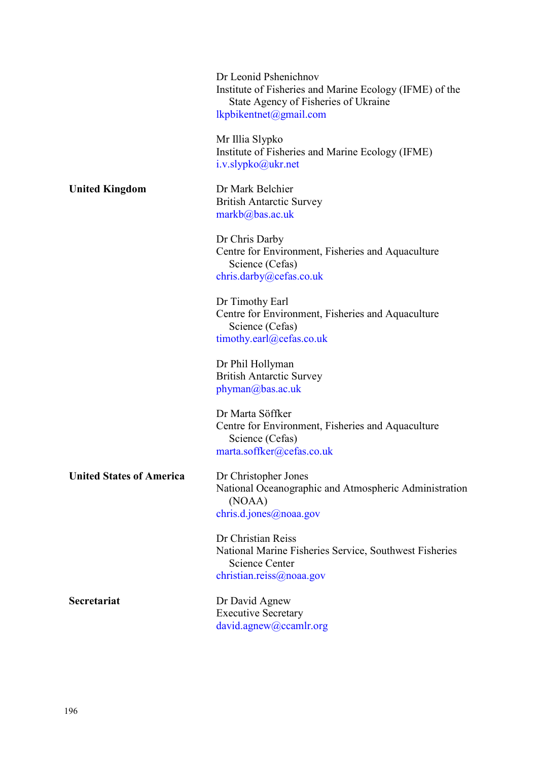Dr Leonid Pshenichnov Institute of Fisheries and Marine Ecology (IFME) of the State Agency of Fisheries of Ukraine [lkpbikentnet@gmail.com](mailto:lkpbikentnet@gmail.com)

Mr Illia Slypko Institute of Fisheries and Marine Ecology (IFME) [i.v.slypko@ukr.net](mailto:i.v.slypko@ukr.net)

**United Kingdom** Dr Mark Belchier British Antarctic Survey [markb@bas.ac.uk](mailto:markb@bas.ac.uk)

> Dr Chris Darby Centre for Environment, Fisheries and Aquaculture Science (Cefas) [chris.darby@cefas.co.uk](mailto:chris.darby@cefas.co.uk)

> Dr Timothy Earl Centre for Environment, Fisheries and Aquaculture Science (Cefas) [timothy.earl@cefas.co.uk](mailto:timothy.earl@cefas.co.uk)

Dr Phil Hollyman British Antarctic Survey [phyman@bas.ac.uk](mailto:phyman@bas.ac.uk)

Dr Marta Söffker Centre for Environment, Fisheries and Aquaculture Science (Cefas) [marta.soffker@cefas.co.uk](mailto:marta.soffker@cefas.co.uk)

**United States of America** Dr Christopher Jones

National Oceanographic and Atmospheric Administration (NOAA) [chris.d.jones@noaa.gov](mailto:chris.d.jones@noaa.gov)

Dr Christian Reiss National Marine Fisheries Service, Southwest Fisheries Science Center [christian.reiss@noaa.gov](mailto:christian.reiss@noaa.gov)

**Secretariat** Dr David Agnew Executive Secretary [david.agnew@ccamlr.org](mailto:david.agnew@ccamlr.org)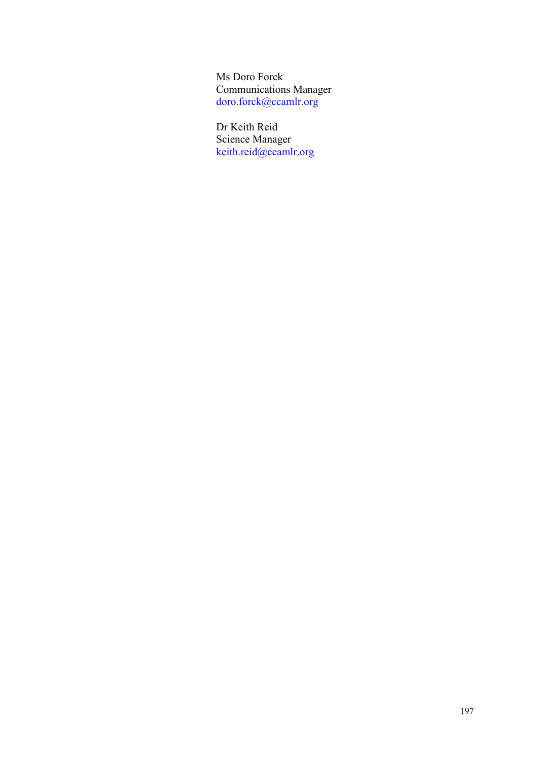Ms Doro Forck Communications Manager [doro.forck@ccamlr.org](mailto:doro.forck@ccamlr.org)

Dr Keith Reid Science Manager [keith.reid@ccamlr.org](mailto:keith.reid@ccamlr.org)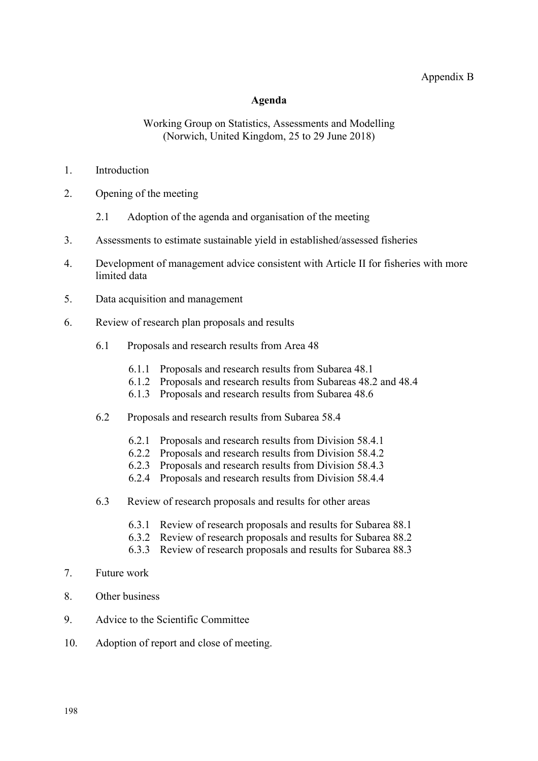#### Appendix B

#### **Agenda**

#### Working Group on Statistics, Assessments and Modelling (Norwich, United Kingdom, 25 to 29 June 2018)

- <span id="page-31-0"></span>1. Introduction
- 2. Opening of the meeting
	- 2.1 Adoption of the agenda and organisation of the meeting
- 3. Assessments to estimate sustainable yield in established/assessed fisheries
- 4. Development of management advice consistent with Article II for fisheries with more limited data
- 5. Data acquisition and management
- 6. Review of research plan proposals and results
	- 6.1 Proposals and research results from Area 48
		- 6.1.1 Proposals and research results from Subarea 48.1
		- 6.1.2 Proposals and research results from Subareas 48.2 and 48.4
		- 6.1.3 Proposals and research results from Subarea 48.6
	- 6.2 Proposals and research results from Subarea 58.4
		- 6.2.1 Proposals and research results from Division 58.4.1
		- 6.2.2 Proposals and research results from Division 58.4.2
		- 6.2.3 Proposals and research results from Division 58.4.3
		- 6.2.4 Proposals and research results from Division 58.4.4
	- 6.3 Review of research proposals and results for other areas
		- 6.3.1 Review of research proposals and results for Subarea 88.1
		- 6.3.2 Review of research proposals and results for Subarea 88.2
		- 6.3.3 Review of research proposals and results for Subarea 88.3
- 7. Future work
- 8. Other business
- 9. Advice to the Scientific Committee
- 10. Adoption of report and close of meeting.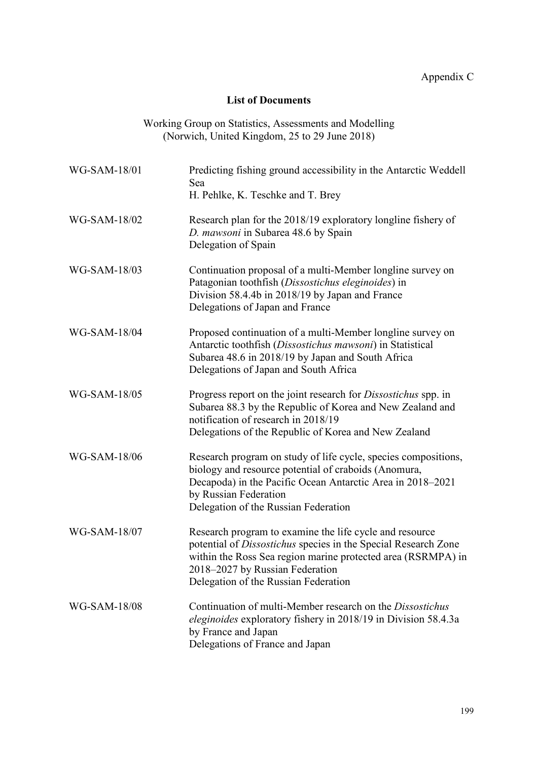### **List of Documents**

Working Group on Statistics, Assessments and Modelling (Norwich, United Kingdom, 25 to 29 June 2018)

<span id="page-32-0"></span>

| WG-SAM-18/01 | Predicting fishing ground accessibility in the Antarctic Weddell<br>Sea<br>H. Pehlke, K. Teschke and T. Brey                                                                                                                                                         |
|--------------|----------------------------------------------------------------------------------------------------------------------------------------------------------------------------------------------------------------------------------------------------------------------|
| WG-SAM-18/02 | Research plan for the 2018/19 exploratory longline fishery of<br>D. mawsoni in Subarea 48.6 by Spain<br>Delegation of Spain                                                                                                                                          |
| WG-SAM-18/03 | Continuation proposal of a multi-Member longline survey on<br>Patagonian toothfish (Dissostichus eleginoides) in<br>Division 58.4.4b in 2018/19 by Japan and France<br>Delegations of Japan and France                                                               |
| WG-SAM-18/04 | Proposed continuation of a multi-Member longline survey on<br>Antarctic toothfish (Dissostichus mawsoni) in Statistical<br>Subarea 48.6 in 2018/19 by Japan and South Africa<br>Delegations of Japan and South Africa                                                |
| WG-SAM-18/05 | Progress report on the joint research for Dissostichus spp. in<br>Subarea 88.3 by the Republic of Korea and New Zealand and<br>notification of research in 2018/19<br>Delegations of the Republic of Korea and New Zealand                                           |
| WG-SAM-18/06 | Research program on study of life cycle, species compositions,<br>biology and resource potential of craboids (Anomura,<br>Decapoda) in the Pacific Ocean Antarctic Area in 2018–2021<br>by Russian Federation<br>Delegation of the Russian Federation                |
| WG-SAM-18/07 | Research program to examine the life cycle and resource<br>potential of Dissostichus species in the Special Research Zone<br>within the Ross Sea region marine protected area (RSRMPA) in<br>2018–2027 by Russian Federation<br>Delegation of the Russian Federation |
| WG-SAM-18/08 | Continuation of multi-Member research on the <i>Dissostichus</i><br><i>eleginoides</i> exploratory fishery in 2018/19 in Division 58.4.3a<br>by France and Japan<br>Delegations of France and Japan                                                                  |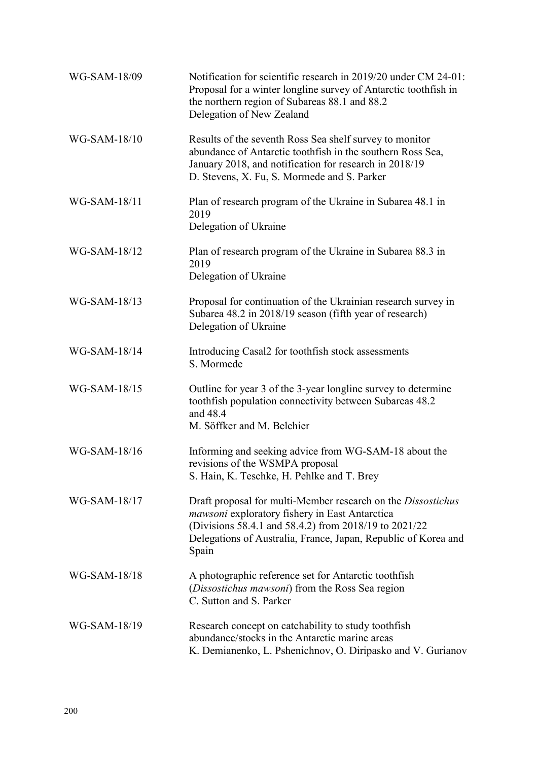| WG-SAM-18/09 | Notification for scientific research in 2019/20 under CM 24-01:<br>Proposal for a winter longline survey of Antarctic toothfish in<br>the northern region of Subareas 88.1 and 88.2<br>Delegation of New Zealand                                   |
|--------------|----------------------------------------------------------------------------------------------------------------------------------------------------------------------------------------------------------------------------------------------------|
| WG-SAM-18/10 | Results of the seventh Ross Sea shelf survey to monitor<br>abundance of Antarctic toothfish in the southern Ross Sea,<br>January 2018, and notification for research in 2018/19<br>D. Stevens, X. Fu, S. Mormede and S. Parker                     |
| WG-SAM-18/11 | Plan of research program of the Ukraine in Subarea 48.1 in<br>2019<br>Delegation of Ukraine                                                                                                                                                        |
| WG-SAM-18/12 | Plan of research program of the Ukraine in Subarea 88.3 in<br>2019<br>Delegation of Ukraine                                                                                                                                                        |
| WG-SAM-18/13 | Proposal for continuation of the Ukrainian research survey in<br>Subarea 48.2 in 2018/19 season (fifth year of research)<br>Delegation of Ukraine                                                                                                  |
| WG-SAM-18/14 | Introducing Casal2 for toothfish stock assessments<br>S. Mormede                                                                                                                                                                                   |
| WG-SAM-18/15 | Outline for year 3 of the 3-year longline survey to determine<br>toothfish population connectivity between Subareas 48.2<br>and 48.4<br>M. Söffker and M. Belchier                                                                                 |
| WG-SAM-18/16 | Informing and seeking advice from WG-SAM-18 about the<br>revisions of the WSMPA proposal<br>S. Hain, K. Teschke, H. Pehlke and T. Brey                                                                                                             |
| WG-SAM-18/17 | Draft proposal for multi-Member research on the Dissostichus<br>mawsoni exploratory fishery in East Antarctica<br>(Divisions 58.4.1 and 58.4.2) from 2018/19 to 2021/22<br>Delegations of Australia, France, Japan, Republic of Korea and<br>Spain |
| WG-SAM-18/18 | A photographic reference set for Antarctic toothfish<br>(Dissostichus mawsoni) from the Ross Sea region<br>C. Sutton and S. Parker                                                                                                                 |
| WG-SAM-18/19 | Research concept on catchability to study toothfish<br>abundance/stocks in the Antarctic marine areas<br>K. Demianenko, L. Pshenichnov, O. Diripasko and V. Gurianov                                                                               |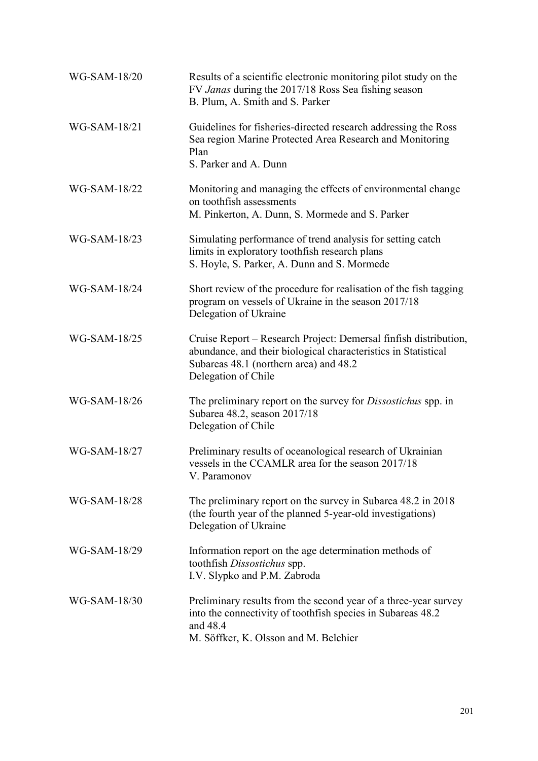| WG-SAM-18/20 | Results of a scientific electronic monitoring pilot study on the<br>FV Janas during the 2017/18 Ross Sea fishing season<br>B. Plum, A. Smith and S. Parker                                          |
|--------------|-----------------------------------------------------------------------------------------------------------------------------------------------------------------------------------------------------|
| WG-SAM-18/21 | Guidelines for fisheries-directed research addressing the Ross<br>Sea region Marine Protected Area Research and Monitoring<br>Plan<br>S. Parker and A. Dunn                                         |
| WG-SAM-18/22 | Monitoring and managing the effects of environmental change<br>on toothfish assessments<br>M. Pinkerton, A. Dunn, S. Mormede and S. Parker                                                          |
| WG-SAM-18/23 | Simulating performance of trend analysis for setting catch<br>limits in exploratory toothfish research plans<br>S. Hoyle, S. Parker, A. Dunn and S. Mormede                                         |
| WG-SAM-18/24 | Short review of the procedure for realisation of the fish tagging<br>program on vessels of Ukraine in the season 2017/18<br>Delegation of Ukraine                                                   |
| WG-SAM-18/25 | Cruise Report – Research Project: Demersal finfish distribution,<br>abundance, and their biological characteristics in Statistical<br>Subareas 48.1 (northern area) and 48.2<br>Delegation of Chile |
| WG-SAM-18/26 | The preliminary report on the survey for <i>Dissostichus</i> spp. in<br>Subarea 48.2, season 2017/18<br>Delegation of Chile                                                                         |
| WG-SAM-18/27 | Preliminary results of oceanological research of Ukrainian<br>vessels in the CCAMLR area for the season 2017/18<br>V. Paramonov                                                                     |
| WG-SAM-18/28 | The preliminary report on the survey in Subarea 48.2 in 2018<br>(the fourth year of the planned 5-year-old investigations)<br>Delegation of Ukraine                                                 |
| WG-SAM-18/29 | Information report on the age determination methods of<br>toothfish Dissostichus spp.<br>I.V. Slypko and P.M. Zabroda                                                                               |
| WG-SAM-18/30 | Preliminary results from the second year of a three-year survey<br>into the connectivity of toothfish species in Subareas 48.2<br>and 48.4<br>M. Söffker, K. Olsson and M. Belchier                 |